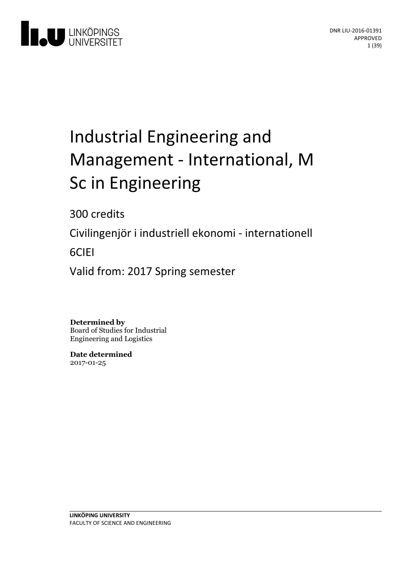

# Industrial Engineering and Management - International, M Sc in Engineering

300 credits

Civilingenjör i industriell ekonomi - internationell

6CIEI

Valid from: 2017 Spring semester

**Determined by** Board of Studies for Industrial Engineering and Logistics

**Date determined** 2017-01-25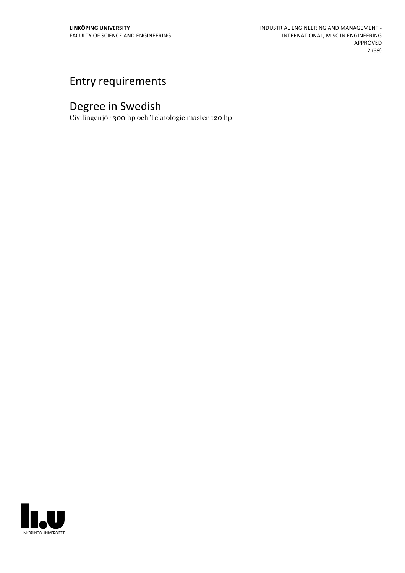## Entry requirements

## Degree in Swedish

Civilingenjör 300 hp och Teknologie master 120 hp

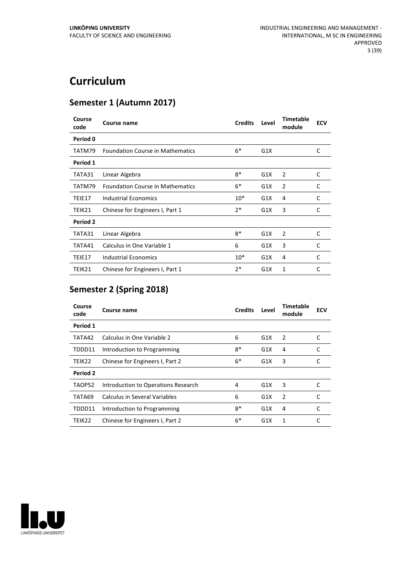## **Curriculum**

## **Semester 1 (Autumn 2017)**

| Course<br>code | Course name                             | <b>Credits</b> | Level | <b>Timetable</b><br>module | <b>ECV</b> |
|----------------|-----------------------------------------|----------------|-------|----------------------------|------------|
| Period 0       |                                         |                |       |                            |            |
| TATM79         | <b>Foundation Course in Mathematics</b> | $6*$           | G1X   |                            | C          |
| Period 1       |                                         |                |       |                            |            |
| TATA31         | Linear Algebra                          | 8*             | G1X   | $\overline{2}$             | C          |
| TATM79         | <b>Foundation Course in Mathematics</b> | $6*$           | G1X   | $\overline{2}$             | C          |
| TEIE17         | Industrial Economics                    | $10*$          | G1X   | 4                          | C          |
| TEIK21         | Chinese for Engineers I, Part 1         | $2*$           | G1X   | 3                          | C          |
| Period 2       |                                         |                |       |                            |            |
| TATA31         | Linear Algebra                          | $8*$           | G1X   | $\overline{2}$             | C          |
| TATA41         | Calculus in One Variable 1              | 6              | G1X   | 3                          | C          |
| TEIE17         | Industrial Economics                    | $10*$          | G1X   | 4                          | C          |
| TEIK21         | Chinese for Engineers I, Part 1         | $2*$           | G1X   | 1                          | C          |

## **Semester 2 (Spring 2018)**

| Course<br>code | Course name                         | <b>Credits</b> | Level | <b>Timetable</b><br>module | <b>ECV</b> |
|----------------|-------------------------------------|----------------|-------|----------------------------|------------|
| Period 1       |                                     |                |       |                            |            |
| TATA42         | Calculus in One Variable 2          | 6              | G1X   | 2                          | C          |
| TDDD11         | Introduction to Programming         | $8*$           | G1X   | 4                          | C          |
| TEIK22         | Chinese for Engineers I, Part 2     | $6*$           | G1X   | 3                          | C          |
| Period 2       |                                     |                |       |                            |            |
| TAOP52         | Introduction to Operations Research | 4              | G1X   | 3                          | C          |
| TATA69         | Calculus in Several Variables       | 6              | G1X   | $\overline{2}$             | C          |
| TDDD11         | Introduction to Programming         | $8*$           | G1X   | 4                          | C          |
| TEIK22         | Chinese for Engineers I, Part 2     | $6*$           | G1X   | 1                          | C          |

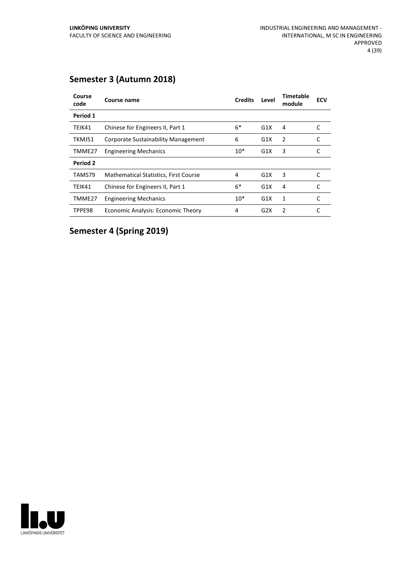| Course<br>code | Course name                                  | <b>Credits</b> | Level | Timetable<br>module | <b>ECV</b> |
|----------------|----------------------------------------------|----------------|-------|---------------------|------------|
| Period 1       |                                              |                |       |                     |            |
| TEIK41         | Chinese for Engineers II, Part 1             | $6*$           | G1X   | 4                   | C          |
| TKMJ51         | <b>Corporate Sustainability Management</b>   | 6              | G1X   | 2                   | C          |
| TMME27         | <b>Engineering Mechanics</b>                 | $10*$          | G1X   | 3                   |            |
| Period 2       |                                              |                |       |                     |            |
| TAMS79         | <b>Mathematical Statistics, First Course</b> | 4              | G1X   | 3                   | C          |
| TEIK41         | Chinese for Engineers II, Part 1             | $6*$           | G1X   | 4                   |            |
| TMME27         | <b>Engineering Mechanics</b>                 | $10*$          | G1X   | 1                   |            |
| TPPE98         | Economic Analysis: Economic Theory           | 4              | G2X   | 2                   |            |

## **Semester 3 (Autumn 2018)**

**Semester 4 (Spring 2019)**

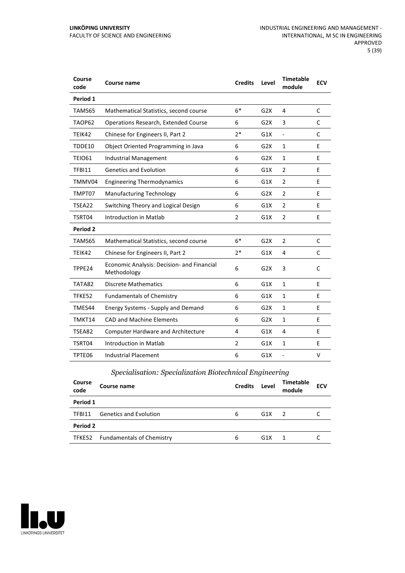| Course<br>code | Course name                                               | <b>Credits</b> | Level | <b>Timetable</b><br>module | <b>ECV</b> |
|----------------|-----------------------------------------------------------|----------------|-------|----------------------------|------------|
| Period 1       |                                                           |                |       |                            |            |
| TAMS65         | Mathematical Statistics, second course                    | $6*$           | G2X   | 4                          | C          |
| TAOP62         | Operations Research, Extended Course                      | 6              | G2X   | 3                          | C          |
| TEIK42         | Chinese for Engineers II, Part 2                          | $2*$           | G1X   | $\frac{1}{2}$              | C          |
| TDDE10         | Object Oriented Programming in Java                       | 6              | G2X   | 1                          | E          |
| <b>TEIO61</b>  | Industrial Management                                     | 6              | G2X   | $\mathbf{1}$               | E          |
| TFBI11         | <b>Genetics and Evolution</b>                             | 6              | G1X   | $\overline{2}$             | E          |
| TMMV04         | <b>Engineering Thermodynamics</b>                         | 6              | G1X   | $\overline{2}$             | E          |
| TMPT07         | <b>Manufacturing Technology</b>                           | 6              | G2X   | $\overline{2}$             | E          |
| TSEA22         | Switching Theory and Logical Design                       | 6              | G1X   | $\overline{2}$             | E          |
| TSRT04         | Introduction in Matlab                                    | 2              | G1X   | 2                          | E          |
| Period 2       |                                                           |                |       |                            |            |
| TAMS65         | Mathematical Statistics, second course                    | $6*$           | G2X   | $\overline{2}$             | C          |
| TEIK42         | Chinese for Engineers II, Part 2                          | $2*$           | G1X   | 4                          | C          |
| TPPE24         | Economic Analysis: Decision- and Financial<br>Methodology | 6              | G2X   | 3                          | C          |
| TATA82         | <b>Discrete Mathematics</b>                               | 6              | G1X   | $\mathbf{1}$               | E          |
| TFKE52         | <b>Fundamentals of Chemistry</b>                          | 6              | G1X   | $\mathbf{1}$               | E          |
| TMES44         | Energy Systems - Supply and Demand                        | 6              | G2X   | $\mathbf{1}$               | E          |
| TMKT14         | <b>CAD and Machine Elements</b>                           | 6              | G2X   | $\mathbf{1}$               | E          |
| TSEA82         | <b>Computer Hardware and Architecture</b>                 | 4              | G1X   | 4                          | E          |
| TSRT04         | Introduction in Matlab                                    | 2              | G1X   | $\mathbf{1}$               | E          |
| TPTE06         | <b>Industrial Placement</b>                               | 6              | G1X   | L,                         | v          |

## *Specialisation: Specialization Biotechnical Engineering*

| Course<br>code | Course name                      | <b>Credits</b> | Level | <b>Timetable</b><br>module | <b>ECV</b> |
|----------------|----------------------------------|----------------|-------|----------------------------|------------|
| Period 1       |                                  |                |       |                            |            |
| TFBI11         | <b>Genetics and Evolution</b>    | 6              | G1X   | $\mathcal{L}$              |            |
| Period 2       |                                  |                |       |                            |            |
|                | TFKE52 Fundamentals of Chemistry | 6              | G1X   |                            |            |

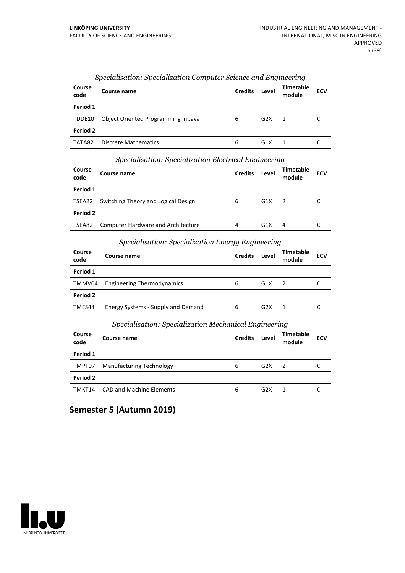| <b>Course</b><br>code | Course name                         | <b>Credits</b> | Level | <b>Timetable</b><br>module | <b>ECV</b> |
|-----------------------|-------------------------------------|----------------|-------|----------------------------|------------|
| Period 1              |                                     |                |       |                            |            |
| TDDE10                | Object Oriented Programming in Java | 6              | G2X   | 1                          |            |
| Period 2              |                                     |                |       |                            |            |
| TATA82                | Discrete Mathematics                | 6              | G1X   |                            |            |

#### *Specialisation: Specialization Computer Science and Engineering*

|  | Specialisation: Specialization Electrical Engineering |  |
|--|-------------------------------------------------------|--|
|  |                                                       |  |

| Course<br>code | Course name                                | <b>Credits</b> | Level | Timetable<br>module | <b>ECV</b> |
|----------------|--------------------------------------------|----------------|-------|---------------------|------------|
| Period 1       |                                            |                |       |                     |            |
|                | TSEA22 Switching Theory and Logical Design | 6              | G1X   | - 2                 |            |
| Period 2       |                                            |                |       |                     |            |
| TSEA82         | <b>Computer Hardware and Architecture</b>  | 4              | G1X   | 4                   |            |

#### *Specialisation: Specialization Energy Engineering*

| Course<br>code | Course name                                           | <b>Credits</b> | Level | <b>Timetable</b><br>module | <b>ECV</b> |
|----------------|-------------------------------------------------------|----------------|-------|----------------------------|------------|
| Period 1       |                                                       |                |       |                            |            |
| TMMV04         | <b>Engineering Thermodynamics</b>                     | 6              | G1X   | $\overline{\phantom{a}}$   |            |
| Period 2       |                                                       |                |       |                            |            |
| TMES44         | Energy Systems - Supply and Demand                    | 6              | G2X   | - 1                        |            |
|                | Specialisation: Specialization Mechanical Engineering |                |       |                            |            |

| <b>Course</b><br>code | Course name                     | <b>Credits</b> | Level | Timetable<br>module | <b>ECV</b> |
|-----------------------|---------------------------------|----------------|-------|---------------------|------------|
| Period 1              |                                 |                |       |                     |            |
| TMPT07                | <b>Manufacturing Technology</b> | 6              | G2X   | $\mathcal{L}$       |            |
| Period 2              |                                 |                |       |                     |            |
| TMKT14                | <b>CAD and Machine Elements</b> | 6              | G2X   |                     |            |

## **Semester 5 (Autumn 2019)**

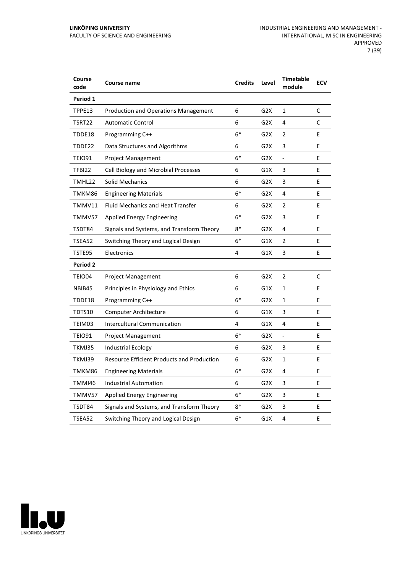| Course<br>code  | Course name                                       | <b>Credits</b> | Level            | <b>Timetable</b><br>module   | <b>ECV</b> |
|-----------------|---------------------------------------------------|----------------|------------------|------------------------------|------------|
| Period 1        |                                                   |                |                  |                              |            |
| TPPE13          | <b>Production and Operations Management</b>       | 6              | G <sub>2</sub> X | $\mathbf{1}$                 | C          |
| TSRT22          | <b>Automatic Control</b>                          | 6              | G <sub>2</sub> X | 4                            | C          |
| TDDE18          | Programming C++                                   | $6*$           | G2X              | 2                            | E          |
| TDDE22          | Data Structures and Algorithms                    | 6              | G <sub>2</sub> X | 3                            | E          |
| <b>TEIO91</b>   | <b>Project Management</b>                         | $6*$           | G <sub>2</sub> X | $\overline{\phantom{a}}$     | E          |
| <b>TFBI22</b>   | Cell Biology and Microbial Processes              | 6              | G1X              | 3                            | E          |
| TMHL22          | <b>Solid Mechanics</b>                            | 6              | G2X              | 3                            | E          |
| TMKM86          | <b>Engineering Materials</b>                      | $6*$           | G2X              | 4                            | E          |
| TMMV11          | <b>Fluid Mechanics and Heat Transfer</b>          | 6              | G2X              | $\overline{2}$               | E          |
| TMMV57          | Applied Energy Engineering                        | $6*$           | G2X              | 3                            | E          |
| TSDT84          | Signals and Systems, and Transform Theory         | $8*$           | G2X              | 4                            | E          |
| TSEA52          | Switching Theory and Logical Design               | $6*$           | G1X              | 2                            | E          |
| TSTE95          | Electronics                                       | 4              | G1X              | 3                            | Е          |
| <b>Period 2</b> |                                                   |                |                  |                              |            |
| TEIO04          | <b>Project Management</b>                         | 6              | G <sub>2</sub> X | 2                            | C          |
| NBIB45          | Principles in Physiology and Ethics               | 6              | G1X              | $\mathbf{1}$                 | E          |
| TDDE18          | Programming C++                                   | $6*$           | G2X              | 1                            | E          |
| TDTS10          | <b>Computer Architecture</b>                      | 6              | G1X              | 3                            | E          |
| TEIM03          | <b>Intercultural Communication</b>                | 4              | G1X              | 4                            | Е          |
| <b>TEIO91</b>   | <b>Project Management</b>                         | $6*$           | G <sub>2</sub> X | $\qquad \qquad \blacksquare$ | E          |
| TKMJ35          | Industrial Ecology                                | 6              | G2X              | 3                            | Е          |
| TKMJ39          | <b>Resource Efficient Products and Production</b> | 6              | G <sub>2</sub> X | $\mathbf{1}$                 | E          |
| TMKM86          | <b>Engineering Materials</b>                      | $6*$           | G <sub>2</sub> X | 4                            | E          |
| TMMI46          | <b>Industrial Automation</b>                      | 6              | G <sub>2</sub> X | 3                            | E          |
| TMMV57          | Applied Energy Engineering                        | $6*$           | G2X              | 3                            | E          |
| TSDT84          | Signals and Systems, and Transform Theory         | 8*             | G2X              | 3                            | Е          |
| TSEA52          | Switching Theory and Logical Design               | $6*$           | G1X              | 4                            | E          |

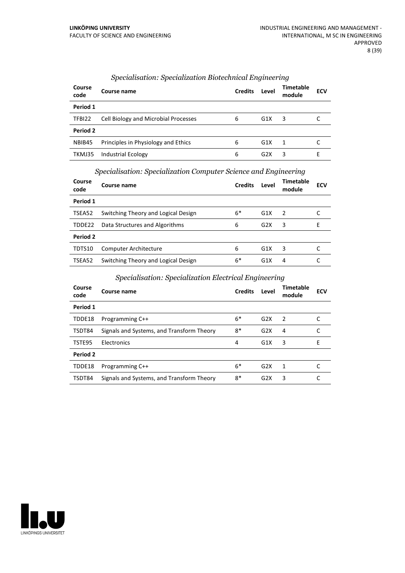| Course<br>code | Course name                          | <b>Credits</b> | Level            | <b>Timetable</b><br>module | <b>ECV</b> |
|----------------|--------------------------------------|----------------|------------------|----------------------------|------------|
| Period 1       |                                      |                |                  |                            |            |
| TFBI22         | Cell Biology and Microbial Processes | 6              | G1X              | 3                          |            |
| Period 2       |                                      |                |                  |                            |            |
| NBIB45         | Principles in Physiology and Ethics  | 6              | G1X              | -1                         |            |
| TKMJ35         | <b>Industrial Ecology</b>            | 6              | G <sub>2</sub> X | 3                          |            |

#### *Specialisation: Specialization Biotechnical Engineering*

*Specialisation: Specialization Computer Science and Engineering*

| Course<br>code | Course name                         | <b>Credits</b> | Level | <b>Timetable</b><br>module | <b>ECV</b> |
|----------------|-------------------------------------|----------------|-------|----------------------------|------------|
| Period 1       |                                     |                |       |                            |            |
| TSEA52         | Switching Theory and Logical Design | $6*$           | G1X   | $\overline{2}$             |            |
| TDDE22         | Data Structures and Algorithms      | 6              | G2X   | 3                          | F          |
| Period 2       |                                     |                |       |                            |            |
| TDTS10         | <b>Computer Architecture</b>        | 6              | G1X   | 3                          |            |
| TSEA52         | Switching Theory and Logical Design | 6*             | G1X   | 4                          |            |

#### *Specialisation: Specialization Electrical Engineering*

| Course<br>code | Course name                               | <b>Credits</b> | Level | <b>Timetable</b><br>module | <b>ECV</b> |
|----------------|-------------------------------------------|----------------|-------|----------------------------|------------|
| Period 1       |                                           |                |       |                            |            |
| TDDE18         | Programming C++                           | $6*$           | G2X   | $\mathcal{P}$              |            |
| TSDT84         | Signals and Systems, and Transform Theory | 8*             | G2X   | 4                          |            |
| TSTE95         | Electronics                               | 4              | G1X   | 3                          | Е          |
| Period 2       |                                           |                |       |                            |            |
| TDDE18         | Programming C++                           | $6*$           | G2X   | 1                          |            |
| TSDT84         | Signals and Systems, and Transform Theory | 8*             | G2X   | 3                          |            |

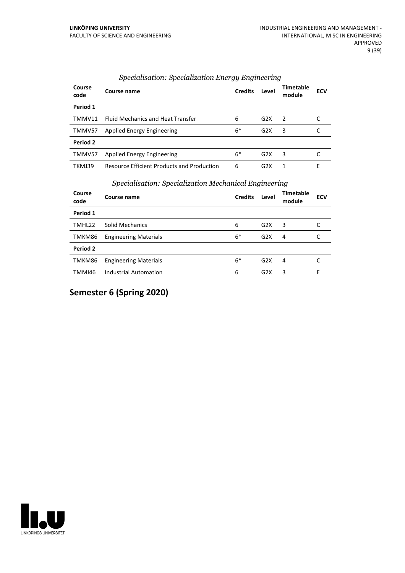| Course<br>code  | Course name                                       | <b>Credits</b> | Level            | <b>Timetable</b><br>module | <b>ECV</b> |
|-----------------|---------------------------------------------------|----------------|------------------|----------------------------|------------|
| Period 1        |                                                   |                |                  |                            |            |
| TMMV11          | <b>Fluid Mechanics and Heat Transfer</b>          | 6              | G2X              | $\overline{2}$             |            |
| TMMV57          | <b>Applied Energy Engineering</b>                 | $6*$           | G2X              | 3                          |            |
| <b>Period 2</b> |                                                   |                |                  |                            |            |
| TMMV57          | <b>Applied Energy Engineering</b>                 | $6*$           | G2X              | 3                          |            |
| TKMJ39          | <b>Resource Efficient Products and Production</b> | 6              | G <sub>2</sub> X | 1                          | F          |

#### *Specialisation: Specialization Energy Engineering*

#### *Specialisation: Specialization Mechanical Engineering*

| Course<br>code | . .<br>Course name           | <b>Credits</b> | $\cdot$<br>Level | $\cdot$<br><b>Timetable</b><br>module | <b>ECV</b> |
|----------------|------------------------------|----------------|------------------|---------------------------------------|------------|
| Period 1       |                              |                |                  |                                       |            |
| TMHL22         | <b>Solid Mechanics</b>       | 6              | G2X              | 3                                     | C          |
| TMKM86         | <b>Engineering Materials</b> | $6*$           | G2X              | 4                                     | C          |
| Period 2       |                              |                |                  |                                       |            |
| TMKM86         | <b>Engineering Materials</b> | $6*$           | G2X              | 4                                     |            |
| TMMI46         | <b>Industrial Automation</b> | 6              | G2X              | 3                                     | Е          |

**Semester 6 (Spring 2020)**

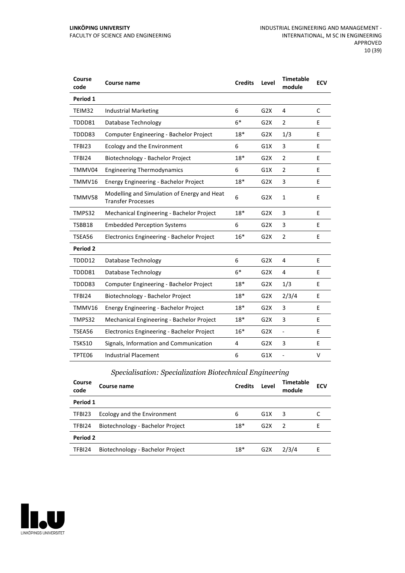| Course<br>code  | <b>Course name</b>                                                       | <b>Credits</b> | Level | <b>Timetable</b><br>module | <b>ECV</b> |
|-----------------|--------------------------------------------------------------------------|----------------|-------|----------------------------|------------|
| Period 1        |                                                                          |                |       |                            |            |
| TEIM32          | <b>Industrial Marketing</b>                                              | 6              | G2X   | 4                          | C          |
| TDDD81          | Database Technology                                                      | $6*$           | G2X   | $\overline{2}$             | E          |
| TDDD83          | Computer Engineering - Bachelor Project                                  | $18*$          | G2X   | 1/3                        | E          |
| TFBI23          | Ecology and the Environment                                              | 6              | G1X   | 3                          | E          |
| TFBI24          | Biotechnology - Bachelor Project                                         | $18*$          | G2X   | $\overline{2}$             | E          |
| TMMV04          | <b>Engineering Thermodynamics</b>                                        | 6              | G1X   | $\overline{2}$             | E          |
| TMMV16          | Energy Engineering - Bachelor Project                                    | $18*$          | G2X   | 3                          | E          |
| TMMV58          | Modelling and Simulation of Energy and Heat<br><b>Transfer Processes</b> | 6              | G2X   | $\mathbf{1}$               | E          |
| TMPS32          | Mechanical Engineering - Bachelor Project                                | $18*$          | G2X   | 3                          | E          |
| TSBB18          | <b>Embedded Perception Systems</b>                                       | 6              | G2X   | 3                          | E          |
| TSEA56          | Electronics Engineering - Bachelor Project                               | $16*$          | G2X   | $\overline{2}$             | E          |
| <b>Period 2</b> |                                                                          |                |       |                            |            |
| TDDD12          | Database Technology                                                      | 6              | G2X   | 4                          | E          |
| TDDD81          | Database Technology                                                      | $6*$           | G2X   | 4                          | E          |
| TDDD83          | Computer Engineering - Bachelor Project                                  | $18*$          | G2X   | 1/3                        | F          |
| TFBI24          | Biotechnology - Bachelor Project                                         | $18*$          | G2X   | 2/3/4                      | E          |
| TMMV16          | Energy Engineering - Bachelor Project                                    | 18*            | G2X   | 3                          | E          |
| TMPS32          | Mechanical Engineering - Bachelor Project                                | $18*$          | G2X   | 3                          | E          |
| TSEA56          | Electronics Engineering - Bachelor Project                               | $16*$          | G2X   | $\frac{1}{2}$              | E          |
| <b>TSKS10</b>   | Signals, Information and Communication                                   | 4              | G2X   | 3                          | E          |
| TPTE06          | <b>Industrial Placement</b>                                              | 6              | G1X   | $\overline{a}$             | v          |

## *Specialisation: Specialization Biotechnical Engineering*

| Course<br>code | Course name                      | <b>Credits</b> | Level | <b>Timetable</b><br>module | <b>ECV</b> |
|----------------|----------------------------------|----------------|-------|----------------------------|------------|
| Period 1       |                                  |                |       |                            |            |
| TFBI23         | Ecology and the Environment      | 6              | G1X   | 3                          |            |
| TFBI24         | Biotechnology - Bachelor Project | $18*$          | G2X   | $\mathcal{P}$              | F          |
| Period 2       |                                  |                |       |                            |            |
| TFBI24         | Biotechnology - Bachelor Project | $18*$          | G2X   | 2/3/4                      | F          |

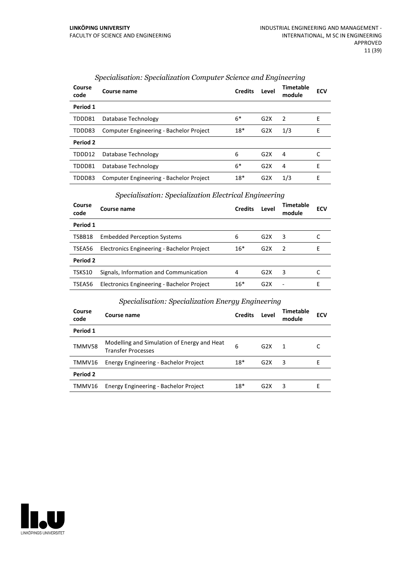| Course<br>code | Course name                             | <b>Credits</b> | Level | Timetable<br>module | <b>ECV</b> |
|----------------|-----------------------------------------|----------------|-------|---------------------|------------|
| Period 1       |                                         |                |       |                     |            |
| TDDD81         | Database Technology                     | $6*$           | G2X   | 2                   | F          |
| TDDD83         | Computer Engineering - Bachelor Project | $18*$          | G2X   | 1/3                 | F          |
| Period 2       |                                         |                |       |                     |            |
| TDDD12         | Database Technology                     | 6              | G2X   | 4                   |            |
| TDDD81         | Database Technology                     | $6*$           | G2X   | 4                   | F          |
| TDDD83         | Computer Engineering - Bachelor Project | $18*$          | G2X   | 1/3                 | E          |

#### *Specialisation: Specialization Computer Science and Engineering*

#### *Specialisation: Specialization Electrical Engineering*

| Course<br>code  | Course name                                | <b>Credits</b> | Level | Timetable<br>module | <b>ECV</b> |
|-----------------|--------------------------------------------|----------------|-------|---------------------|------------|
| Period 1        |                                            |                |       |                     |            |
| TSBB18          | <b>Embedded Perception Systems</b>         | 6              | G2X   | 3                   |            |
| TSEA56          | Electronics Engineering - Bachelor Project | $16*$          | G2X   | 2                   | F          |
| <b>Period 2</b> |                                            |                |       |                     |            |
| TSKS10          | Signals, Information and Communication     | 4              | G2X   | 3                   |            |
| TSEA56          | Electronics Engineering - Bachelor Project | $16*$          | G2X   |                     | ۲          |

#### *Specialisation: Specialization Energy Engineering*

| Course<br>code | Course name                                                              | <b>Credits</b> | Level            | Timetable<br>module | <b>ECV</b> |
|----------------|--------------------------------------------------------------------------|----------------|------------------|---------------------|------------|
| Period 1       |                                                                          |                |                  |                     |            |
| TMMV58         | Modelling and Simulation of Energy and Heat<br><b>Transfer Processes</b> | 6              | G2X              | 1                   |            |
| TMMV16         | Energy Engineering - Bachelor Project                                    | $18*$          | G2X              | 3                   | F          |
| Period 2       |                                                                          |                |                  |                     |            |
| TMMV16         | Energy Engineering - Bachelor Project                                    | $18*$          | G <sub>2</sub> X | 3                   | F          |

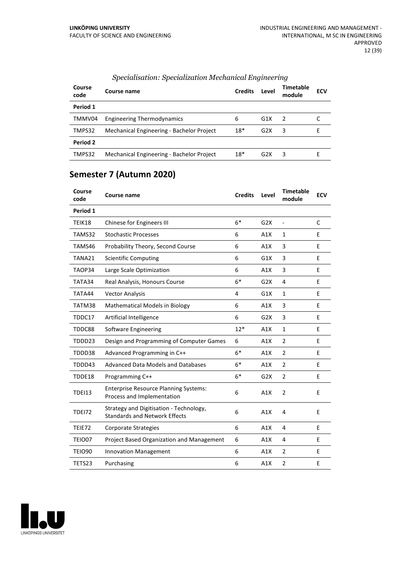| Course<br>code | Course name                               | <b>Credits</b> | Level            | Timetable<br>module | <b>ECV</b> |
|----------------|-------------------------------------------|----------------|------------------|---------------------|------------|
| Period 1       |                                           |                |                  |                     |            |
| TMMV04         | <b>Engineering Thermodynamics</b>         | 6              | G1X              | 2                   |            |
| TMPS32         | Mechanical Engineering - Bachelor Project | $18*$          | G2X              | 3                   |            |
| Period 2       |                                           |                |                  |                     |            |
| TMPS32         | Mechanical Engineering - Bachelor Project | $18*$          | G <sub>2</sub> X | 3                   | F          |

#### *Specialisation: Specialization Mechanical Engineering*

## **Semester 7 (Autumn 2020)**

| Course<br>code | Course name                                                                     | <b>Credits</b> | Level | <b>Timetable</b><br>module | <b>ECV</b> |
|----------------|---------------------------------------------------------------------------------|----------------|-------|----------------------------|------------|
| Period 1       |                                                                                 |                |       |                            |            |
| TEIK18         | Chinese for Engineers III                                                       | $6*$           | G2X   | $\overline{a}$             | C          |
| TAMS32         | <b>Stochastic Processes</b>                                                     | 6              | A1X   | $\mathbf{1}$               | E          |
| TAMS46         | Probability Theory, Second Course                                               | 6              | A1X   | 3                          | E          |
| TANA21         | <b>Scientific Computing</b>                                                     | 6              | G1X   | 3                          | E          |
| TAOP34         | Large Scale Optimization                                                        | 6              | A1X   | 3                          | E          |
| TATA34         | Real Analysis, Honours Course                                                   | $6*$           | G2X   | 4                          | E          |
| TATA44         | <b>Vector Analysis</b>                                                          | 4              | G1X   | 1                          | E          |
| TATM38         | Mathematical Models in Biology                                                  | 6              | A1X   | 3                          | E          |
| TDDC17         | Artificial Intelligence                                                         | 6              | G2X   | 3                          | E          |
| TDDC88         | <b>Software Engineering</b>                                                     | $12*$          | A1X   | $\mathbf{1}$               | E          |
| TDDD23         | Design and Programming of Computer Games                                        | 6              | A1X   | $\overline{2}$             | E          |
| TDDD38         | Advanced Programming in C++                                                     | $6*$           | A1X   | $\overline{2}$             | E          |
| TDDD43         | <b>Advanced Data Models and Databases</b>                                       | $6*$           | A1X   | $\overline{2}$             | E          |
| TDDE18         | Programming C++                                                                 | $6*$           | G2X   | $\overline{2}$             | E          |
| <b>TDEI13</b>  | <b>Enterprise Resource Planning Systems:</b><br>Process and Implementation      | 6              | A1X   | $\overline{2}$             | E          |
| <b>TDE172</b>  | Strategy and Digitisation - Technology,<br><b>Standards and Network Effects</b> | 6              | A1X   | 4                          | E          |
| TEIE72         | Corporate Strategies                                                            | 6              | A1X   | 4                          | E          |
| <b>TEIO07</b>  | Project Based Organization and Management                                       | 6              | A1X   | 4                          | E          |
| <b>TEIO90</b>  | <b>Innovation Management</b>                                                    | 6              | A1X   | $\overline{2}$             | E          |
| TETS23         | Purchasing                                                                      | 6              | A1X   | $\overline{2}$             | E          |

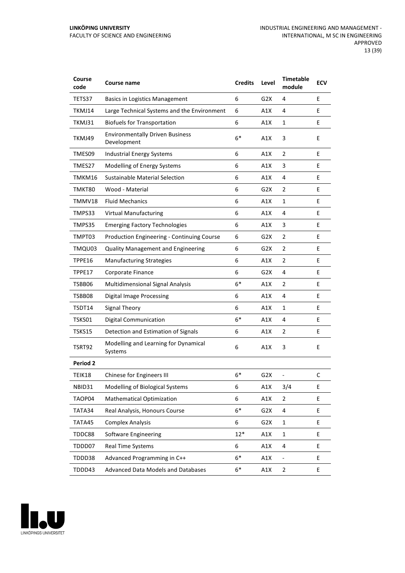| Course<br>code  | Course name                                           | <b>Credits</b> | Level            | <b>Timetable</b><br>module | <b>ECV</b> |
|-----------------|-------------------------------------------------------|----------------|------------------|----------------------------|------------|
| TETS37          | <b>Basics in Logistics Management</b>                 | 6              | G2X              | 4                          | E          |
| TKMJ14          | Large Technical Systems and the Environment           | 6              | A1X              | 4                          | E          |
| TKMJ31          | <b>Biofuels for Transportation</b>                    | 6              | A1X              | $\mathbf{1}$               | E          |
| TKMJ49          | <b>Environmentally Driven Business</b><br>Development | $6*$           | A1X              | 3                          | E          |
| TMES09          | <b>Industrial Energy Systems</b>                      | 6              | A1X              | 2                          | E          |
| TMES27          | Modelling of Energy Systems                           | 6              | A1X              | 3                          | E          |
| TMKM16          | <b>Sustainable Material Selection</b>                 | 6              | A1X              | 4                          | E          |
| TMKT80          | Wood - Material                                       | 6              | G <sub>2</sub> X | $\overline{2}$             | E          |
| TMMV18          | <b>Fluid Mechanics</b>                                | 6              | A1X              | 1                          | E          |
| TMPS33          | <b>Virtual Manufacturing</b>                          | 6              | A1X              | 4                          | E          |
| TMPS35          | <b>Emerging Factory Technologies</b>                  | 6              | A1X              | 3                          | E          |
| TMPT03          | Production Engineering - Continuing Course            | 6              | G2X              | $\overline{2}$             | E          |
| TMQU03          | <b>Quality Management and Engineering</b>             | 6              | G2X              | $\overline{2}$             | E          |
| TPPE16          | <b>Manufacturing Strategies</b>                       | 6              | A1X              | $\overline{2}$             | E          |
| TPPE17          | Corporate Finance                                     | 6              | G2X              | 4                          | E          |
| TSBB06          | Multidimensional Signal Analysis                      | $6*$           | A1X              | $\overline{2}$             | E          |
| TSBB08          | <b>Digital Image Processing</b>                       | 6              | A1X              | 4                          | E          |
| TSDT14          | <b>Signal Theory</b>                                  | 6              | A1X              | $\mathbf{1}$               | E          |
| TSKS01          | <b>Digital Communication</b>                          | $6*$           | A1X              | 4                          | E          |
| <b>TSKS15</b>   | Detection and Estimation of Signals                   | 6              | A1X              | $\overline{2}$             | E          |
| TSRT92          | Modelling and Learning for Dynamical<br>Systems       | 6              | A1X              | 3                          | E          |
| <b>Period 2</b> |                                                       |                |                  |                            |            |
| TEIK18          | Chinese for Engineers III                             | $6*$           | G <sub>2</sub> X |                            | C          |
| NBID31          | Modelling of Biological Systems                       | 6              | A1X              | 3/4                        | Ε          |
| TAOP04          | <b>Mathematical Optimization</b>                      | 6              | A1X              | $\overline{2}$             | E          |
| TATA34          | Real Analysis, Honours Course                         | $6*$           | G2X              | 4                          | E          |
| TATA45          | <b>Complex Analysis</b>                               | 6              | G <sub>2</sub> X | $\mathbf{1}$               | E          |
| TDDC88          | <b>Software Engineering</b>                           | $12*$          | A1X              | $\mathbf{1}$               | E          |
| TDDD07          | Real Time Systems                                     | 6              | A1X              | 4                          | E          |
| TDDD38          | Advanced Programming in C++                           | $6*$           | A1X              | $\overline{\phantom{a}}$   | E          |
| TDDD43          | Advanced Data Models and Databases                    | $6*$           | A1X              | $\overline{2}$             | E          |

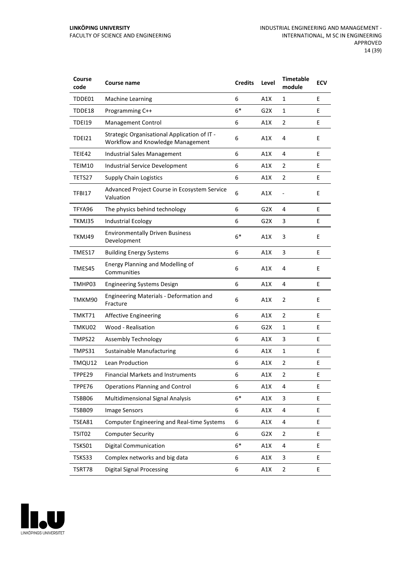| Course<br>code | Course name                                                                       | <b>Credits</b> | Level            | <b>Timetable</b><br>module | <b>ECV</b> |
|----------------|-----------------------------------------------------------------------------------|----------------|------------------|----------------------------|------------|
| TDDE01         | <b>Machine Learning</b>                                                           | 6              | A1X              | 1                          | E          |
| TDDE18         | Programming C++                                                                   | $6*$           | G2X              | 1                          | E          |
| <b>TDEI19</b>  | Management Control                                                                | 6              | A1X              | $\overline{2}$             | E          |
| <b>TDEI21</b>  | Strategic Organisational Application of IT -<br>Workflow and Knowledge Management | 6              | A1X              | 4                          | E          |
| TEIE42         | <b>Industrial Sales Management</b>                                                | 6              | A1X              | 4                          | E          |
| TEIM10         | <b>Industrial Service Development</b>                                             | 6              | A1X              | 2                          | E          |
| TETS27         | <b>Supply Chain Logistics</b>                                                     | 6              | A1X              | $\overline{2}$             | E          |
| TFBI17         | Advanced Project Course in Ecosystem Service<br>Valuation                         | 6              | A1X              |                            | E          |
| TFYA96         | The physics behind technology                                                     | 6              | G <sub>2</sub> X | 4                          | E          |
| TKMJ35         | <b>Industrial Ecology</b>                                                         | 6              | G <sub>2</sub> X | 3                          | E          |
| TKMJ49         | <b>Environmentally Driven Business</b><br>Development                             | $6*$           | A1X              | 3                          | E          |
| TMES17         | <b>Building Energy Systems</b>                                                    | 6              | A1X              | 3                          | E          |
| TMES45         | Energy Planning and Modelling of<br>Communities                                   | 6              | A1X              | 4                          | E          |
| TMHP03         | <b>Engineering Systems Design</b>                                                 | 6              | A1X              | 4                          | E          |
| TMKM90         | <b>Engineering Materials - Deformation and</b><br>Fracture                        | 6              | A1X              | 2                          | E          |
| TMKT71         | <b>Affective Engineering</b>                                                      | 6              | A1X              | $\overline{2}$             | E          |
| TMKU02         | Wood - Realisation                                                                | 6              | G <sub>2</sub> X | $\mathbf{1}$               | E          |
| TMPS22         | <b>Assembly Technology</b>                                                        | 6              | A1X              | 3                          | E          |
| TMPS31         | <b>Sustainable Manufacturing</b>                                                  | 6              | A1X              | 1                          | E          |
| TMQU12         | Lean Production                                                                   | 6              | A1X              | $\overline{2}$             | E          |
| TPPE29         | <b>Financial Markets and Instruments</b>                                          | 6              | A1X              | $\overline{2}$             | E          |
| TPPE76         | <b>Operations Planning and Control</b>                                            | 6              | A1X              | 4                          | E          |
| TSBB06         | Multidimensional Signal Analysis                                                  | $6*$           | A1X              | 3                          | E          |
| TSBB09         | <b>Image Sensors</b>                                                              | 6              | A1X              | 4                          | E.         |
| TSEA81         | <b>Computer Engineering and Real-time Systems</b>                                 | 6              | A1X              | 4                          | E          |
| TSIT02         | <b>Computer Security</b>                                                          | 6              | G <sub>2</sub> X | $\overline{2}$             | E          |
| TSKS01         | <b>Digital Communication</b>                                                      | $6*$           | A1X              | 4                          | E          |
| TSKS33         | Complex networks and big data                                                     | 6              | A1X              | 3                          | E          |
| TSRT78         | <b>Digital Signal Processing</b>                                                  | 6              | A1X              | $\overline{2}$             | E          |

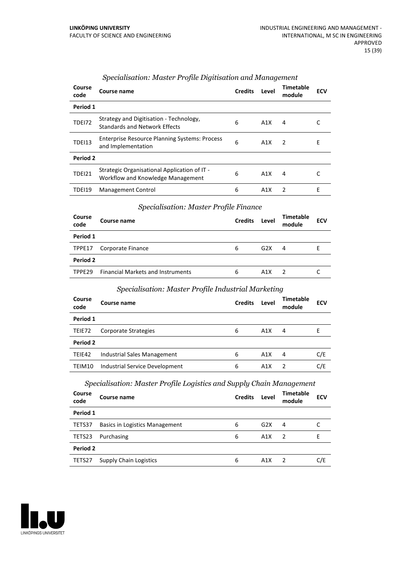| Course<br>code | Course name                                                                       | <b>Credits</b> | Level | Timetable<br>module | <b>ECV</b> |
|----------------|-----------------------------------------------------------------------------------|----------------|-------|---------------------|------------|
| Period 1       |                                                                                   |                |       |                     |            |
| <b>TDE172</b>  | Strategy and Digitisation - Technology,<br><b>Standards and Network Effects</b>   | 6              | A1X   | 4                   |            |
| <b>TDEI13</b>  | <b>Enterprise Resource Planning Systems: Process</b><br>and Implementation        | 6              | A1X   | $\overline{z}$      | Е          |
| Period 2       |                                                                                   |                |       |                     |            |
| <b>TDEI21</b>  | Strategic Organisational Application of IT -<br>Workflow and Knowledge Management | 6              | A1X   | 4                   |            |
| TDEI19         | <b>Management Control</b>                                                         | 6              | A1X   | 2                   | F          |

#### *Specialisation: Master Profile Digitisation and Management*

#### *Specialisation: Master Profile Finance*

| Course<br>code     | Course name                              | <b>Credits</b> | Level | Timetable<br>module | <b>ECV</b> |
|--------------------|------------------------------------------|----------------|-------|---------------------|------------|
| Period 1           |                                          |                |       |                     |            |
| TPPE17             | Corporate Finance                        | 6              | G2X   | 4                   | E          |
| Period 2           |                                          |                |       |                     |            |
| TPPF <sub>29</sub> | <b>Financial Markets and Instruments</b> | 6              | A1X   |                     |            |

#### *Specialisation: Master Profile Industrial Marketing*

| Course<br>code | Course name                    | <b>Credits</b> | Level | Timetable<br>module | <b>ECV</b> |
|----------------|--------------------------------|----------------|-------|---------------------|------------|
| Period 1       |                                |                |       |                     |            |
| TEIE72         | Corporate Strategies           | 6              | A1X   | 4                   | Е          |
| Period 2       |                                |                |       |                     |            |
| TEIE42         | Industrial Sales Management    | 6              | A1X   | 4                   | C/E        |
| TEIM10         | Industrial Service Development | 6              | A1X   |                     | C/E        |

#### *Specialisation: Master Profile Logistics and Supply Chain Management*

| Course<br>code | Course name                           | <b>Credits</b> | Level | <b>Timetable</b><br>module | <b>ECV</b> |
|----------------|---------------------------------------|----------------|-------|----------------------------|------------|
| Period 1       |                                       |                |       |                            |            |
| TETS37         | <b>Basics in Logistics Management</b> | 6              | G2X   | 4                          |            |
| TETS23         | Purchasing                            | 6              | A1X   | $\mathcal{P}$              |            |
| Period 2       |                                       |                |       |                            |            |
| TETS27         | <b>Supply Chain Logistics</b>         | 6              | A1X   |                            | C/E        |

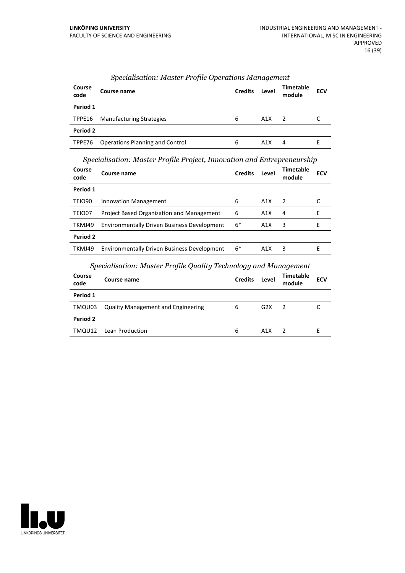| Course<br>code | Course name                     | <b>Credits</b> | Level            | Timetable<br>module | <b>ECV</b> |
|----------------|---------------------------------|----------------|------------------|---------------------|------------|
| Period 1       |                                 |                |                  |                     |            |
| TPPE16         | <b>Manufacturing Strategies</b> | 6              | A1X              | 2                   |            |
| Period 2       |                                 |                |                  |                     |            |
| TPPE76         | Operations Planning and Control | 6              | A <sub>1</sub> X | 4                   |            |

#### *Specialisation: Master Profile Operations Management*

*Specialisation: Master Profile Project, Innovation and Entrepreneurship*

| Course<br>code     | Course name                                        | <b>Credits</b> | Level | Timetable<br>module | <b>ECV</b> |
|--------------------|----------------------------------------------------|----------------|-------|---------------------|------------|
| Period 1           |                                                    |                |       |                     |            |
| TEIO <sub>90</sub> | <b>Innovation Management</b>                       | 6              | A1X   | $\mathcal{P}$       |            |
| TEIO07             | Project Based Organization and Management          | 6              | A1X   | 4                   | F          |
| TKMJ49             | <b>Environmentally Driven Business Development</b> | $6*$           | A1X   | 3                   | F          |
| Period 2           |                                                    |                |       |                     |            |
| TKMJ49             | <b>Environmentally Driven Business Development</b> | $6*$           | A1X   | 3                   | F          |

#### *Specialisation: Master Profile Quality Technology and Management*

| <b>Course</b><br>code | Course name                               | <b>Credits</b> | Level | Timetable<br>module | <b>ECV</b> |
|-----------------------|-------------------------------------------|----------------|-------|---------------------|------------|
| Period 1              |                                           |                |       |                     |            |
| TMQU03                | <b>Quality Management and Engineering</b> | 6              | G2X   | $\overline{z}$      |            |
| Period 2              |                                           |                |       |                     |            |
| TMQU12                | Lean Production                           | 6              | A1X   |                     |            |

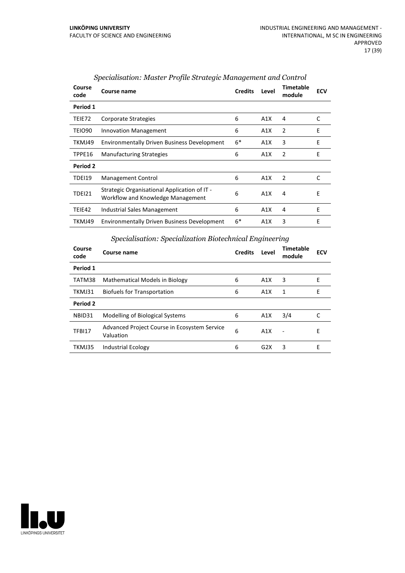| Course<br>code | Course name                                                                       | <b>Credits</b> | Level | <b>Timetable</b><br>module | <b>ECV</b> |
|----------------|-----------------------------------------------------------------------------------|----------------|-------|----------------------------|------------|
| Period 1       |                                                                                   |                |       |                            |            |
| TEIE72         | Corporate Strategies                                                              | 6              | A1X   | 4                          | C          |
| TEIO90         | <b>Innovation Management</b>                                                      | 6              | A1X   | 2                          | E          |
| TKMJ49         | <b>Environmentally Driven Business Development</b>                                | $6*$           | A1X   | 3                          | E          |
| TPPE16         | <b>Manufacturing Strategies</b>                                                   | 6              | A1X   | 2                          | E          |
| Period 2       |                                                                                   |                |       |                            |            |
| TDEI19         | Management Control                                                                | 6              | A1X   | 2                          | C          |
| <b>TDEI21</b>  | Strategic Organisational Application of IT -<br>Workflow and Knowledge Management | 6              | A1X   | 4                          | E          |
| TEIE42         | Industrial Sales Management                                                       | 6              | A1X   | 4                          | E          |
| TKMJ49         | <b>Environmentally Driven Business Development</b>                                | $6*$           | A1X   | 3                          | E          |

#### *Specialisation: Master Profile Strategic Management and Control*

## *Specialisation: Specialization Biotechnical Engineering*

| Course<br>code | Course name                                               | <b>Credits</b> | Level | Timetable<br>module | <b>ECV</b> |
|----------------|-----------------------------------------------------------|----------------|-------|---------------------|------------|
| Period 1       |                                                           |                |       |                     |            |
| TATM38         | <b>Mathematical Models in Biology</b>                     | 6              | A1X   | 3                   | Е          |
| TKMJ31         | <b>Biofuels for Transportation</b>                        | 6              | A1X   | 1                   | E          |
| Period 2       |                                                           |                |       |                     |            |
| NBID31         | Modelling of Biological Systems                           | 6              | A1X   | 3/4                 |            |
| TFBI17         | Advanced Project Course in Ecosystem Service<br>Valuation | 6              | A1X   | Ē,                  | E          |
| TKMJ35         | <b>Industrial Ecology</b>                                 | 6              | G2X   | 3                   | E          |

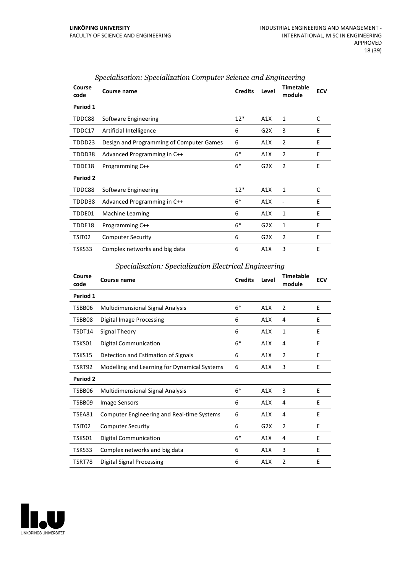| Course<br>code | Course name                              | <b>Credits</b> | Level | <b>Timetable</b><br>module | <b>ECV</b> |
|----------------|------------------------------------------|----------------|-------|----------------------------|------------|
| Period 1       |                                          |                |       |                            |            |
| TDDC88         | Software Engineering                     | $12*$          | A1X   | 1                          | C          |
| TDDC17         | Artificial Intelligence                  | 6              | G2X   | 3                          | E          |
| TDDD23         | Design and Programming of Computer Games | 6              | A1X   | 2                          | E          |
| TDDD38         | Advanced Programming in C++              | $6*$           | A1X   | 2                          | E          |
| TDDE18         | Programming C++                          | $6*$           | G2X   | 2                          | E          |
| Period 2       |                                          |                |       |                            |            |
| TDDC88         | Software Engineering                     | $12*$          | A1X   | $\mathbf{1}$               | C          |
| TDDD38         | Advanced Programming in C++              | $6*$           | A1X   |                            | E          |
| TDDE01         | Machine Learning                         | 6              | A1X   | 1                          | E          |
| TDDE18         | Programming C++                          | $6*$           | G2X   | 1                          | E          |
| TSIT02         | <b>Computer Security</b>                 | 6              | G2X   | 2                          | E          |
| TSKS33         | Complex networks and big data            | 6              | A1X   | 3                          | E          |

#### *Specialisation: Specialization Computer Science and Engineering*

## *Specialisation: Specialization Electrical Engineering*

| Course<br>code  | Course name                                       | <b>Credits</b> | Level | Timetable<br>module | <b>ECV</b> |
|-----------------|---------------------------------------------------|----------------|-------|---------------------|------------|
| Period 1        |                                                   |                |       |                     |            |
| TSBB06          | <b>Multidimensional Signal Analysis</b>           | $6*$           | A1X   | $\overline{2}$      | F          |
| TSBB08          | <b>Digital Image Processing</b>                   | 6              | A1X   | 4                   | E          |
| TSDT14          | Signal Theory                                     | 6              | A1X   | 1                   | E          |
| TSKS01          | Digital Communication                             | $6*$           | A1X   | 4                   | E          |
| TSKS15          | Detection and Estimation of Signals               | 6              | A1X   | $\overline{2}$      | E          |
| TSRT92          | Modelling and Learning for Dynamical Systems      | 6              | A1X   | 3                   | E          |
| <b>Period 2</b> |                                                   |                |       |                     |            |
| TSBB06          | <b>Multidimensional Signal Analysis</b>           | $6*$           | A1X   | 3                   | E          |
| TSBB09          | Image Sensors                                     | 6              | A1X   | 4                   | E          |
| TSEA81          | <b>Computer Engineering and Real-time Systems</b> | 6              | A1X   | 4                   | E          |
| TSIT02          | <b>Computer Security</b>                          | 6              | G2X   | $\overline{2}$      | E          |
| TSKS01          | <b>Digital Communication</b>                      | $6*$           | A1X   | 4                   | E          |
| TSKS33          | Complex networks and big data                     | 6              | A1X   | 3                   | E          |
| TSRT78          | Digital Signal Processing                         | 6              | A1X   | $\overline{2}$      | E          |

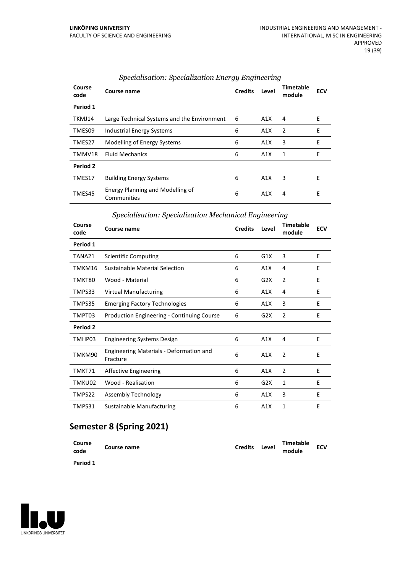| Course<br>code | Course name                                     | <b>Credits</b> | Level | Timetable<br>module | <b>ECV</b> |
|----------------|-------------------------------------------------|----------------|-------|---------------------|------------|
| Period 1       |                                                 |                |       |                     |            |
| TKMJ14         | Large Technical Systems and the Environment     | 6              | A1X   | 4                   | E          |
| TMES09         | Industrial Energy Systems                       | 6              | A1X   | 2                   | E          |
| TMES27         | Modelling of Energy Systems                     | 6              | A1X   | 3                   | E          |
| TMMV18         | <b>Fluid Mechanics</b>                          | 6              | A1X   | 1                   | F          |
| Period 2       |                                                 |                |       |                     |            |
| TMES17         | <b>Building Energy Systems</b>                  | 6              | A1X   | 3                   | Е          |
| TMES45         | Energy Planning and Modelling of<br>Communities | 6              | A1X   | 4                   | E          |

#### *Specialisation: Specialization Energy Engineering*

#### *Specialisation: Specialization Mechanical Engineering*

| Course<br>code | Course name                                                | <b>Credits</b> | Level | <b>Timetable</b><br>module | <b>ECV</b> |
|----------------|------------------------------------------------------------|----------------|-------|----------------------------|------------|
| Period 1       |                                                            |                |       |                            |            |
| TANA21         | <b>Scientific Computing</b>                                | 6              | G1X   | 3                          | E          |
| TMKM16         | Sustainable Material Selection                             | 6              | A1X   | 4                          | E          |
| TMKT80         | Wood - Material                                            | 6              | G2X   | $\overline{2}$             | E          |
| TMPS33         | <b>Virtual Manufacturing</b>                               | 6              | A1X   | 4                          | E          |
| TMPS35         | <b>Emerging Factory Technologies</b>                       | 6              | A1X   | 3                          | E          |
| TMPT03         | <b>Production Engineering - Continuing Course</b>          | 6              | G2X   | 2                          | E          |
| Period 2       |                                                            |                |       |                            |            |
| TMHP03         | <b>Engineering Systems Design</b>                          | 6              | A1X   | 4                          | E          |
| TMKM90         | <b>Engineering Materials - Deformation and</b><br>Fracture | 6              | A1X   | $\overline{2}$             | E          |
| TMKT71         | Affective Engineering                                      | 6              | A1X   | $\overline{2}$             | E          |
| TMKU02         | Wood - Realisation                                         | 6              | G2X   | 1                          | E          |
| TMPS22         | Assembly Technology                                        | 6              | A1X   | 3                          | E          |
| TMPS31         | <b>Sustainable Manufacturing</b>                           | 6              | A1X   | 1                          | E          |

## **Semester 8 (Spring 2021)**

| Course<br>code | Course name | <b>Credits</b> | Level | Timetable<br>module | <b>ECV</b> |  |
|----------------|-------------|----------------|-------|---------------------|------------|--|
| Period 1       |             |                |       |                     |            |  |

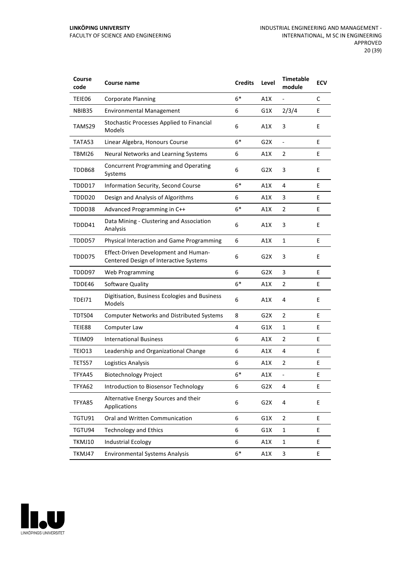| Course<br>code | Course name                                                                    | <b>Credits</b> | Level            | <b>Timetable</b><br>module | <b>ECV</b> |
|----------------|--------------------------------------------------------------------------------|----------------|------------------|----------------------------|------------|
| TEIE06         | <b>Corporate Planning</b>                                                      | $6*$           | A1X              |                            | C          |
| NBIB35         | <b>Environmental Management</b>                                                | 6              | G1X              | 2/3/4                      | E          |
| TAMS29         | Stochastic Processes Applied to Financial<br>Models                            | 6              | A1X              | 3                          | E          |
| TATA53         | Linear Algebra, Honours Course                                                 | $6*$           | G <sub>2</sub> X | $\blacksquare$             | E          |
| TBMI26         | Neural Networks and Learning Systems                                           | 6              | A1X              | 2                          | E          |
| TDDB68         | <b>Concurrent Programming and Operating</b><br>Systems                         | 6              | G2X              | 3                          | E          |
| TDDD17         | Information Security, Second Course                                            | $6*$           | A1X              | 4                          | E          |
| TDDD20         | Design and Analysis of Algorithms                                              | 6              | A1X              | 3                          | E          |
| TDDD38         | Advanced Programming in C++                                                    | $6*$           | A1X              | $\overline{2}$             | E          |
| TDDD41         | Data Mining - Clustering and Association<br>Analysis                           | 6              | A1X              | 3                          | E          |
| TDDD57         | Physical Interaction and Game Programming                                      | 6              | A1X              | $\mathbf{1}$               | E          |
| TDDD75         | Effect-Driven Development and Human-<br>Centered Design of Interactive Systems | 6              | G <sub>2</sub> X | 3                          | E          |
| TDDD97         | Web Programming                                                                | 6              | G <sub>2</sub> X | 3                          | E          |
| TDDE46         | Software Quality                                                               | $6*$           | A1X              | 2                          | E          |
| TDEI71         | Digitisation, Business Ecologies and Business<br>Models                        | 6              | A1X              | 4                          | E          |
| TDTS04         | <b>Computer Networks and Distributed Systems</b>                               | 8              | G <sub>2</sub> X | $\overline{2}$             | E          |
| TEIE88         | Computer Law                                                                   | 4              | G1X              | $\mathbf{1}$               | E          |
| TEIM09         | <b>International Business</b>                                                  | 6              | A1X              | $\overline{2}$             | Е          |
| <b>TEIO13</b>  | Leadership and Organizational Change                                           | 6              | A1X              | 4                          | E          |
| TETS57         | Logistics Analysis                                                             | 6              | A1X              | 2                          | E          |
| TFYA45         | <b>Biotechnology Project</b>                                                   | $6*$           | A1X              | Ē,                         | E          |
| TFYA62         | Introduction to Biosensor Technology                                           | 6              | G <sub>2</sub> X | 4                          | E          |
| TFYA85         | Alternative Energy Sources and their<br>Applications                           | 6              | G <sub>2</sub> X | 4                          | E          |
| TGTU91         | Oral and Written Communication                                                 | 6              | G1X              | $\overline{2}$             | E.         |
| TGTU94         | <b>Technology and Ethics</b>                                                   | 6              | G1X              | $\mathbf{1}$               | E          |
| TKMJ10         | <b>Industrial Ecology</b>                                                      | 6              | A1X              | $\mathbf{1}$               | E          |
| TKMJ47         | <b>Environmental Systems Analysis</b>                                          | $6*$           | A1X              | 3                          | E          |

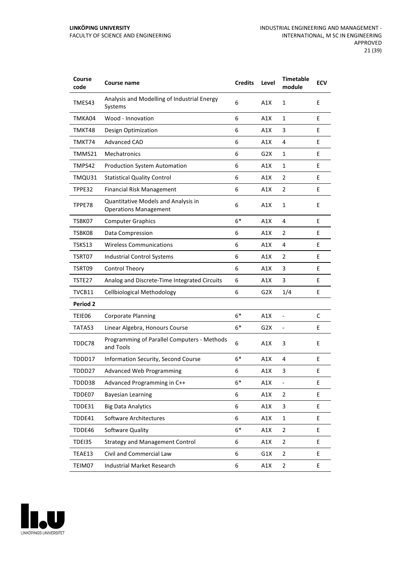| Course<br>code  | Course name                                                         | <b>Credits</b> | Level            | <b>Timetable</b><br>module | <b>ECV</b> |
|-----------------|---------------------------------------------------------------------|----------------|------------------|----------------------------|------------|
| TMES43          | Analysis and Modelling of Industrial Energy<br>Systems              | 6              | A1X              | $\mathbf{1}$               | E          |
| TMKA04          | Wood - Innovation                                                   | 6              | A1X              | 1                          | Е          |
| TMKT48          | Design Optimization                                                 | 6              | A1X              | 3                          | E          |
| TMKT74          | <b>Advanced CAD</b>                                                 | 6              | A1X              | 4                          | E          |
| TMMS21          | Mechatronics                                                        | 6              | G2X              | 1                          | E          |
| TMPS42          | <b>Production System Automation</b>                                 | 6              | A1X              | 1                          | E          |
| TMQU31          | <b>Statistical Quality Control</b>                                  | 6              | A1X              | 2                          | E          |
| TPPE32          | <b>Financial Risk Management</b>                                    | 6              | A1X              | 2                          | E          |
| TPPE78          | Quantitative Models and Analysis in<br><b>Operations Management</b> | 6              | A1X              | $\mathbf{1}$               | E          |
| TSBK07          | <b>Computer Graphics</b>                                            | $6*$           | A1X              | 4                          | E          |
| TSBK08          | Data Compression                                                    | 6              | A1X              | 2                          | Е          |
| TSKS13          | <b>Wireless Communications</b>                                      | 6              | A1X              | 4                          | E          |
| TSRT07          | <b>Industrial Control Systems</b>                                   | 6              | A1X              | 2                          | E          |
| TSRT09          | <b>Control Theory</b>                                               | 6              | A1X              | 3                          | E          |
| TSTE27          | Analog and Discrete-Time Integrated Circuits                        | 6              | A1X              | 3                          | E          |
| TVCB11          | <b>Cellbiological Methodology</b>                                   | 6              | G2X              | 1/4                        | E          |
| <b>Period 2</b> |                                                                     |                |                  |                            |            |
| TEIE06          | <b>Corporate Planning</b>                                           | $6*$           | A1X              | $\overline{a}$             | C          |
| TATA53          | Linear Algebra, Honours Course                                      | $6*$           | G <sub>2</sub> X | $\overline{\phantom{0}}$   | E          |
| TDDC78          | Programming of Parallel Computers - Methods<br>and Tools            | 6              | A1X              | 3                          | E          |
| TDDD17          | Information Security, Second Course                                 | $6*$           | A1X              | 4                          | E          |
| TDDD27          | <b>Advanced Web Programming</b>                                     | 6              | A1X              | 3                          | E          |
| TDDD38          | Advanced Programming in C++                                         | 6*             | A1X              | ÷                          | E          |
| TDDE07          | <b>Bayesian Learning</b>                                            | 6              | A1X              | 2                          | E.         |
| TDDE31          | <b>Big Data Analytics</b>                                           | 6              | A1X              | 3                          | E          |
| TDDE41          | Software Architectures                                              | 6              | A1X              | $\mathbf 1$                | E          |
| TDDE46          | Software Quality                                                    | $6*$           | A1X              | $\overline{2}$             | E          |
| <b>TDEI35</b>   | <b>Strategy and Management Control</b>                              | 6              | A1X              | $\overline{2}$             | E          |
| TEAE13          | Civil and Commercial Law                                            | 6              | G1X              | $\overline{2}$             | E          |
| TEIM07          | <b>Industrial Market Research</b>                                   | 6              | A1X              | $\overline{2}$             | E          |

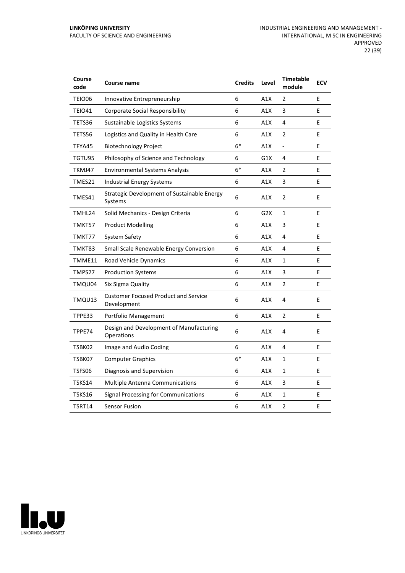| Course<br>code | Course name                                                | <b>Credits</b> | Level | <b>Timetable</b><br>module | <b>ECV</b> |
|----------------|------------------------------------------------------------|----------------|-------|----------------------------|------------|
| TEIO06         | Innovative Entrepreneurship                                | 6              | A1X   | 2                          | E          |
| TEIO41         | <b>Corporate Social Responsibility</b>                     | 6              | A1X   | 3                          | F.         |
| TETS36         | Sustainable Logistics Systems                              | 6              | A1X   | 4                          | E          |
| TETS56         | Logistics and Quality in Health Care                       | 6              | A1X   | 2                          | E          |
| TFYA45         | <b>Biotechnology Project</b>                               | $6*$           | A1X   | $\blacksquare$             | E          |
| TGTU95         | Philosophy of Science and Technology                       | 6              | G1X   | 4                          | E          |
| TKMJ47         | <b>Environmental Systems Analysis</b>                      | $6*$           | A1X   | $\overline{2}$             | E          |
| TMES21         | <b>Industrial Energy Systems</b>                           | 6              | A1X   | 3                          | E          |
| TMES41         | Strategic Development of Sustainable Energy<br>Systems     | 6              | A1X   | 2                          | E          |
| TMHL24         | Solid Mechanics - Design Criteria                          | 6              | G2X   | $\mathbf{1}$               | E          |
| TMKT57         | <b>Product Modelling</b>                                   | 6              | A1X   | 3                          | E          |
| TMKT77         | System Safety                                              | 6              | A1X   | 4                          | E          |
| TMKT83         | Small Scale Renewable Energy Conversion                    | 6              | A1X   | 4                          | E          |
| TMME11         | Road Vehicle Dynamics                                      | 6              | A1X   | $\mathbf{1}$               | E          |
| TMPS27         | <b>Production Systems</b>                                  | 6              | A1X   | 3                          | E          |
| TMQU04         | Six Sigma Quality                                          | 6              | A1X   | $\overline{2}$             | E          |
| TMQU13         | <b>Customer Focused Product and Service</b><br>Development | 6              | A1X   | 4                          | E          |
| TPPE33         | Portfolio Management                                       | 6              | A1X   | $\overline{2}$             | E          |
| TPPE74         | Design and Development of Manufacturing<br>Operations      | 6              | A1X   | 4                          | E          |
| TSBK02         | Image and Audio Coding                                     | 6              | A1X   | 4                          | E          |
| TSBK07         | <b>Computer Graphics</b>                                   | $6*$           | A1X   | $\mathbf{1}$               | E          |
| TSFS06         | Diagnosis and Supervision                                  | 6              | A1X   | $\mathbf{1}$               | E          |
| TSKS14         | <b>Multiple Antenna Communications</b>                     | 6              | A1X   | 3                          | E          |
| TSKS16         | <b>Signal Processing for Communications</b>                | 6              | A1X   | $\mathbf{1}$               | E          |
| TSRT14         | <b>Sensor Fusion</b>                                       | 6              | A1X   | $\overline{2}$             | E          |

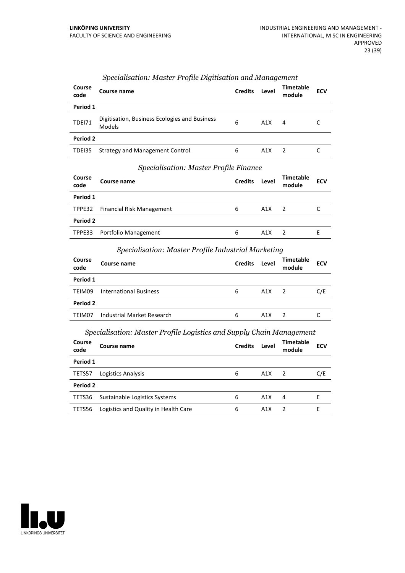| Course<br>code | Course name                                                    | <b>Credits</b> | Level | Timetable<br>module | <b>ECV</b> |  |  |
|----------------|----------------------------------------------------------------|----------------|-------|---------------------|------------|--|--|
| Period 1       |                                                                |                |       |                     |            |  |  |
| <b>TDEI71</b>  | Digitisation, Business Ecologies and Business<br><b>Models</b> | 6              | A1X   | 4                   |            |  |  |
| Period 2       |                                                                |                |       |                     |            |  |  |
| TDEI35         | <b>Strategy and Management Control</b>                         | 6              | A1X   |                     |            |  |  |

#### *Specialisation: Master Profile Digitisation and Management*

#### *Specialisation: Master Profile Finance*

| Course<br>code | Course name                      | <b>Credits</b> | Level | <b>Timetable</b><br>module | <b>ECV</b> |
|----------------|----------------------------------|----------------|-------|----------------------------|------------|
| Period 1       |                                  |                |       |                            |            |
|                | TPPE32 Financial Risk Management | 6              | A1X   |                            |            |
| Period 2       |                                  |                |       |                            |            |
|                | TPPE33 Portfolio Management      | 6              | A1X   |                            |            |

#### *Specialisation: Master Profile Industrial Marketing*

| Course<br>code | Course name                   | <b>Credits</b> | Level            | <b>Timetable</b><br>module | <b>ECV</b> |
|----------------|-------------------------------|----------------|------------------|----------------------------|------------|
| Period 1       |                               |                |                  |                            |            |
| TEIM09         | <b>International Business</b> | 6              | A1X              | 2                          | C/E        |
| Period 2       |                               |                |                  |                            |            |
| TFIM07         | Industrial Market Research    | 6              | A <sub>1</sub> X |                            |            |

#### *Specialisation: Master Profile Logistics and Supply Chain Management*

| Course<br>code | Course name                          | <b>Credits</b> | Level            | <b>Timetable</b><br>module | <b>ECV</b> |
|----------------|--------------------------------------|----------------|------------------|----------------------------|------------|
| Period 1       |                                      |                |                  |                            |            |
| TETS57         | Logistics Analysis                   | 6              | A1X              | $\overline{2}$             | C/E        |
| Period 2       |                                      |                |                  |                            |            |
| TETS36         | Sustainable Logistics Systems        | 6              | A1X              | 4                          |            |
| TETS56         | Logistics and Quality in Health Care | 6              | A <sub>1</sub> X | 2                          | F          |

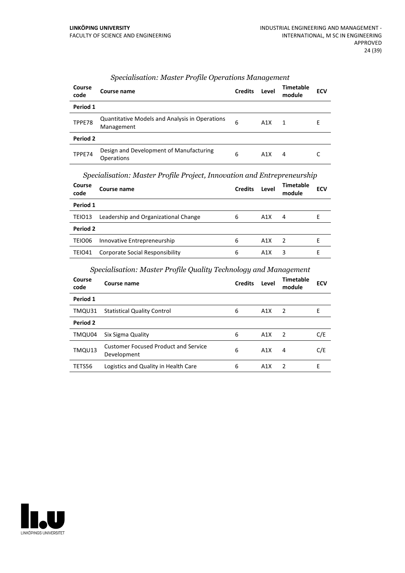| Course<br>code  | Course name                                                         | <b>Credits</b> | Level | <b>Timetable</b><br>module | <b>ECV</b> |
|-----------------|---------------------------------------------------------------------|----------------|-------|----------------------------|------------|
| Period 1        |                                                                     |                |       |                            |            |
| TPPE78          | <b>Quantitative Models and Analysis in Operations</b><br>Management | 6              | A1X   | $\mathbf{1}$               | Е          |
| <b>Period 2</b> |                                                                     |                |       |                            |            |
| TPPE74          | Design and Development of Manufacturing<br><b>Operations</b>        | 6              | A1X   | 4                          |            |

#### *Specialisation: Master Profile Operations Management*

#### *Specialisation: Master Profile Project, Innovation and Entrepreneurship*

| Course<br>code | Course name                          | <b>Credits</b> | Level            | Timetable<br>module | <b>ECV</b> |
|----------------|--------------------------------------|----------------|------------------|---------------------|------------|
| Period 1       |                                      |                |                  |                     |            |
| TEIO13         | Leadership and Organizational Change | 6              | A1X              | 4                   | F          |
| Period 2       |                                      |                |                  |                     |            |
| TEIO06         | Innovative Entrepreneurship          | 6              | A1X              | 2                   |            |
| TEIO41         | Corporate Social Responsibility      | 6              | A <sub>1</sub> X | 3                   | н          |

## *Specialisation: Master Profile Quality Technology and Management*

| Course<br>code | Course name                                                | <b>Credits</b> | Level | <b>Timetable</b><br>module | <b>ECV</b> |
|----------------|------------------------------------------------------------|----------------|-------|----------------------------|------------|
| Period 1       |                                                            |                |       |                            |            |
| TMQU31         | <b>Statistical Quality Control</b>                         | 6              | A1X   | 2                          | E          |
| Period 2       |                                                            |                |       |                            |            |
| TMQU04         | Six Sigma Quality                                          | 6              | A1X   | $\overline{2}$             | C/E        |
| TMQU13         | <b>Customer Focused Product and Service</b><br>Development | 6              | A1X   | 4                          | C/E        |
| TETS56         | Logistics and Quality in Health Care                       | 6              | A1X   | $\overline{2}$             | E          |

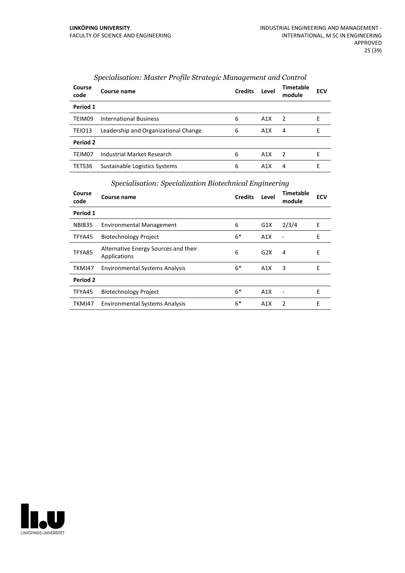| Course<br>code | Course name                          | <b>Credits</b> | Level | <b>Timetable</b><br>module | <b>ECV</b> |
|----------------|--------------------------------------|----------------|-------|----------------------------|------------|
| Period 1       |                                      |                |       |                            |            |
| TEIM09         | <b>International Business</b>        | 6              | A1X   | $\mathcal{P}$              | F          |
| TEIO13         | Leadership and Organizational Change | 6              | A1X   | 4                          | F          |
| Period 2       |                                      |                |       |                            |            |
| TEIM07         | Industrial Market Research           | 6              | A1X   | $\overline{2}$             | F          |
| TETS36         | Sustainable Logistics Systems        | 6              | A1X   | 4                          | F          |

#### *Specialisation: Master Profile Strategic Management and Control*

#### *Specialisation: Specialization Biotechnical Engineering*

|                | opeennommer opeennommer of following and medicing    |                |       |                              |            |  |
|----------------|------------------------------------------------------|----------------|-------|------------------------------|------------|--|
| Course<br>code | Course name                                          | <b>Credits</b> | Level | <b>Timetable</b><br>module   | <b>ECV</b> |  |
| Period 1       |                                                      |                |       |                              |            |  |
| NBIB35         | <b>Environmental Management</b>                      | 6              | G1X   | 2/3/4                        | E          |  |
| TFYA45         | <b>Biotechnology Project</b>                         | $6*$           | A1X   | $\qquad \qquad \blacksquare$ | E          |  |
| TFYA85         | Alternative Energy Sources and their<br>Applications | 6              | G2X   | 4                            | Е          |  |
| TKMJ47         | <b>Environmental Systems Analysis</b>                | $6*$           | A1X   | 3                            | E          |  |
| Period 2       |                                                      |                |       |                              |            |  |
| TFYA45         | <b>Biotechnology Project</b>                         | $6*$           | A1X   |                              | E          |  |
| TKMJ47         | <b>Environmental Systems Analysis</b>                | $6*$           | A1X   | $\mathcal{P}$                | E          |  |

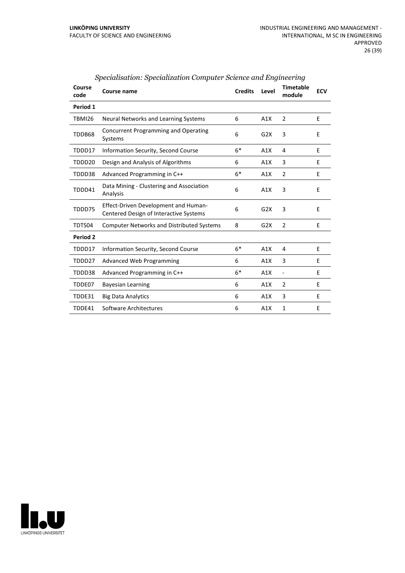| Course<br>code     | Course name                                                                           | <b>Credits</b> | Level | <b>Timetable</b><br>module   | <b>ECV</b> |
|--------------------|---------------------------------------------------------------------------------------|----------------|-------|------------------------------|------------|
| Period 1           |                                                                                       |                |       |                              |            |
| TBMI26             | Neural Networks and Learning Systems                                                  | 6              | A1X   | 2                            | E          |
| TDDB68             | Concurrent Programming and Operating<br>Systems                                       | 6              | G2X   | 3                            | E          |
| TDDD17             | Information Security, Second Course                                                   | $6*$           | A1X   | 4                            | E          |
| TDDD <sub>20</sub> | Design and Analysis of Algorithms                                                     | 6              | A1X   | 3                            | E          |
| TDDD38             | Advanced Programming in C++                                                           | $6*$           | A1X   | $\overline{2}$               | E          |
| TDDD41             | Data Mining - Clustering and Association<br>Analysis                                  | 6              | A1X   | 3                            | E          |
| TDDD75             | <b>Effect-Driven Development and Human-</b><br>Centered Design of Interactive Systems | 6              | G2X   | 3                            | E          |
| TDTS04             | <b>Computer Networks and Distributed Systems</b>                                      | 8              | G2X   | 2                            | E          |
| Period 2           |                                                                                       |                |       |                              |            |
| TDDD17             | <b>Information Security, Second Course</b>                                            | $6*$           | A1X   | 4                            | E          |
| TDDD27             | <b>Advanced Web Programming</b>                                                       | 6              | A1X   | 3                            | E          |
| TDDD38             | Advanced Programming in C++                                                           | $6*$           | A1X   | $\qquad \qquad \blacksquare$ | E          |
| TDDE07             | <b>Bayesian Learning</b>                                                              | 6              | A1X   | 2                            | E          |
| TDDE31             | <b>Big Data Analytics</b>                                                             | 6              | A1X   | 3                            | F          |
| TDDE41             | Software Architectures                                                                | 6              | A1X   | 1                            | E          |

## *Specialisation: Specialization Computer Science and Engineering*

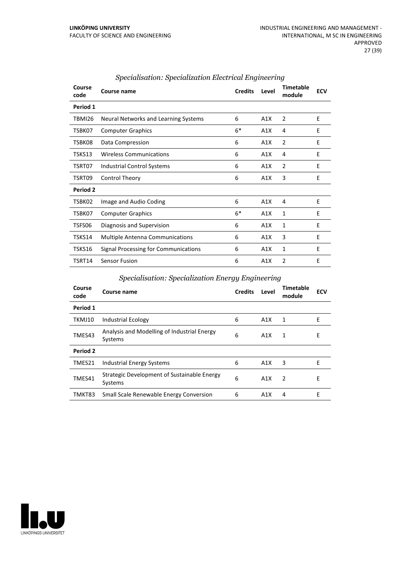| Course<br>code  | <b>Course name</b>                     | <b>Credits</b> | Level | <b>Timetable</b><br>module | <b>ECV</b> |
|-----------------|----------------------------------------|----------------|-------|----------------------------|------------|
| Period 1        |                                        |                |       |                            |            |
| TBMI26          | Neural Networks and Learning Systems   | 6              | A1X   | $\overline{2}$             | Ε          |
| TSBK07          | <b>Computer Graphics</b>               | $6*$           | A1X   | 4                          | E          |
| TSBK08          | Data Compression                       | 6              | A1X   | $\overline{2}$             | E          |
| TSKS13          | <b>Wireless Communications</b>         | 6              | A1X   | 4                          | E          |
| TSRT07          | Industrial Control Systems             | 6              | A1X   | $\overline{2}$             | E          |
| TSRT09          | <b>Control Theory</b>                  | 6              | A1X   | 3                          | E          |
| <b>Period 2</b> |                                        |                |       |                            |            |
| TSBK02          | Image and Audio Coding                 | 6              | A1X   | 4                          | E          |
| TSBK07          | <b>Computer Graphics</b>               | $6*$           | A1X   | 1                          | F          |
| TSFS06          | Diagnosis and Supervision              | 6              | A1X   | 1                          | E          |
| TSKS14          | <b>Multiple Antenna Communications</b> | 6              | A1X   | 3                          | E          |
| TSKS16          | Signal Processing for Communications   | 6              | A1X   | 1                          | Е          |
| TSRT14          | Sensor Fusion                          | 6              | A1X   | $\overline{2}$             | E          |

#### *Specialisation: Specialization Electrical Engineering*

#### *Specialisation: Specialization Energy Engineering*

| Course<br>code | Course name                                            | <b>Credits</b> | Level            | Timetable<br>module | <b>ECV</b> |
|----------------|--------------------------------------------------------|----------------|------------------|---------------------|------------|
| Period 1       |                                                        |                |                  |                     |            |
| TKMJ10         | <b>Industrial Ecology</b>                              | 6              | A1X              | 1                   | E          |
| TMES43         | Analysis and Modelling of Industrial Energy<br>Systems | 6              | A1X              | 1                   | E          |
| Period 2       |                                                        |                |                  |                     |            |
| TMES21         | Industrial Energy Systems                              | 6              | A1X              | 3                   | E          |
| TMES41         | Strategic Development of Sustainable Energy<br>Systems | 6              | A1X              | $\mathcal{P}$       | E          |
| TMKT83         | Small Scale Renewable Energy Conversion                | 6              | A <sub>1</sub> X | 4                   | F          |

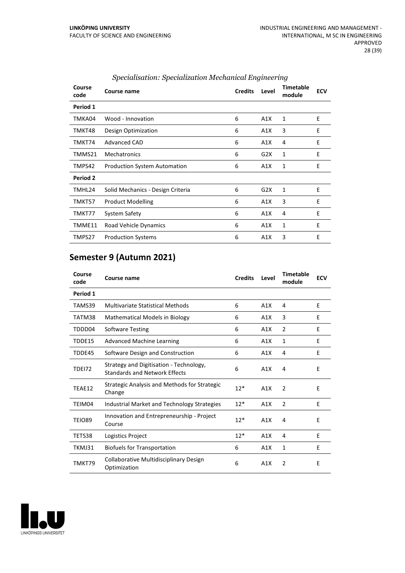| Course<br>code | Course name                         | <b>Credits</b> | Level | <b>Timetable</b><br>module | <b>ECV</b> |
|----------------|-------------------------------------|----------------|-------|----------------------------|------------|
| Period 1       |                                     |                |       |                            |            |
| TMKA04         | Wood - Innovation                   | 6              | A1X   | 1                          | E          |
| TMKT48         | Design Optimization                 | 6              | A1X   | 3                          | E          |
| TMKT74         | Advanced CAD                        | 6              | A1X   | 4                          | Ε          |
| TMMS21         | <b>Mechatronics</b>                 | 6              | G2X   | 1                          | E          |
| TMPS42         | <b>Production System Automation</b> | 6              | A1X   | 1                          | E          |
| Period 2       |                                     |                |       |                            |            |
| TMHL24         | Solid Mechanics - Design Criteria   | 6              | G2X   | 1                          | E          |
| TMKT57         | <b>Product Modelling</b>            | 6              | A1X   | 3                          | E          |
| TMKT77         | System Safety                       | 6              | A1X   | 4                          | E          |
| TMME11         | Road Vehicle Dynamics               | 6              | A1X   | 1                          | E          |
| TMPS27         | <b>Production Systems</b>           | 6              | A1X   | 3                          | E          |

#### *Specialisation: Specialization Mechanical Engineering*

## **Semester 9 (Autumn 2021)**

| Course<br>code | Course name                                                                     | <b>Credits</b> | Level | Timetable<br>module | <b>ECV</b> |
|----------------|---------------------------------------------------------------------------------|----------------|-------|---------------------|------------|
| Period 1       |                                                                                 |                |       |                     |            |
| TAMS39         | <b>Multivariate Statistical Methods</b>                                         | 6              | A1X   | 4                   | E          |
| TATM38         | <b>Mathematical Models in Biology</b>                                           | 6              | A1X   | 3                   | E          |
| TDDD04         | <b>Software Testing</b>                                                         | 6              | A1X   | $\overline{2}$      | E          |
| TDDE15         | <b>Advanced Machine Learning</b>                                                | 6              | A1X   | 1                   | E          |
| TDDE45         | Software Design and Construction                                                | 6              | A1X   | 4                   | F          |
| <b>TDE172</b>  | Strategy and Digitisation - Technology,<br><b>Standards and Network Effects</b> | 6              | A1X   | 4                   | E          |
| TEAE12         | <b>Strategic Analysis and Methods for Strategic</b><br>Change                   | $12*$          | A1X   | 2                   | E          |
| TEIM04         | <b>Industrial Market and Technology Strategies</b>                              | $12*$          | A1X   | $\overline{2}$      | E          |
| <b>TEIO89</b>  | Innovation and Entrepreneurship - Project<br>Course                             | $12*$          | A1X   | 4                   | E          |
| TETS38         | Logistics Project                                                               | $12*$          | A1X   | 4                   | Ε          |
| TKMJ31         | <b>Biofuels for Transportation</b>                                              | 6              | A1X   | $\mathbf{1}$        | E          |
| TMKT79         | Collaborative Multidisciplinary Design<br>Optimization                          | 6              | A1X   | $\overline{2}$      | Е          |

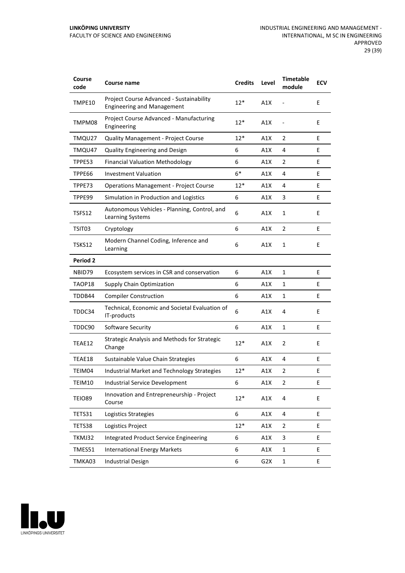| Course<br>code | Course name                                                                   | <b>Credits</b> | Level | <b>Timetable</b><br>module | <b>ECV</b> |
|----------------|-------------------------------------------------------------------------------|----------------|-------|----------------------------|------------|
| TMPE10         | Project Course Advanced - Sustainability<br><b>Engineering and Management</b> | $12*$          | A1X   |                            | E          |
| TMPM08         | Project Course Advanced - Manufacturing<br>Engineering                        | $12*$          | A1X   |                            | E          |
| TMQU27         | <b>Quality Management - Project Course</b>                                    | $12*$          | A1X   | 2                          | E          |
| TMQU47         | Quality Engineering and Design                                                | 6              | A1X   | 4                          | E          |
| TPPE53         | <b>Financial Valuation Methodology</b>                                        | 6              | A1X   | 2                          | E          |
| TPPE66         | <b>Investment Valuation</b>                                                   | $6*$           | A1X   | 4                          | E          |
| TPPE73         | <b>Operations Management - Project Course</b>                                 | $12*$          | A1X   | 4                          | E          |
| TPPE99         | Simulation in Production and Logistics                                        | 6              | A1X   | 3                          | E          |
| TSFS12         | Autonomous Vehicles - Planning, Control, and<br>Learning Systems              | 6              | A1X   | 1                          | E          |
| TSIT03         | Cryptology                                                                    | 6              | A1X   | 2                          | E          |
| TSKS12         | Modern Channel Coding, Inference and<br>Learning                              | 6              | A1X   | 1                          | E          |
| Period 2       |                                                                               |                |       |                            |            |
| NBID79         | Ecosystem services in CSR and conservation                                    | 6              | A1X   | 1                          | E          |
| TAOP18         | <b>Supply Chain Optimization</b>                                              | 6              | A1X   | 1                          | Ε          |
| TDDB44         | <b>Compiler Construction</b>                                                  | 6              | A1X   | 1                          | E          |
| TDDC34         | Technical, Economic and Societal Evaluation of<br>IT-products                 | 6              | A1X   | 4                          | E          |
| TDDC90         | Software Security                                                             | 6              | A1X   | 1                          | E          |
| TEAE12         | Strategic Analysis and Methods for Strategic<br>Change                        | $12*$          | A1X   | 2                          | E          |
| TEAE18         | Sustainable Value Chain Strategies                                            | 6              | A1X   | 4                          | E          |
| TEIM04         | Industrial Market and Technology Strategies                                   | $12*$          | A1X   | 2                          | E          |
| TEIM10         | <b>Industrial Service Development</b>                                         | 6              | A1X   | 2                          | E          |
| <b>TEIO89</b>  | Innovation and Entrepreneurship - Project<br>Course                           | $12*$          | A1X   | 4                          | E          |
| TETS31         | Logistics Strategies                                                          | 6              | A1X   | 4                          | E          |
| TETS38         | Logistics Project                                                             | $12*$          | A1X   | $\overline{2}$             | E          |
| TKMJ32         | Integrated Product Service Engineering                                        | 6              | A1X   | 3                          | E          |
| TMES51         | <b>International Energy Markets</b>                                           | 6              | A1X   | $\mathbf 1$                | E          |
| TMKA03         | <b>Industrial Design</b>                                                      | 6              | G2X   | $\mathbf 1$                | E          |

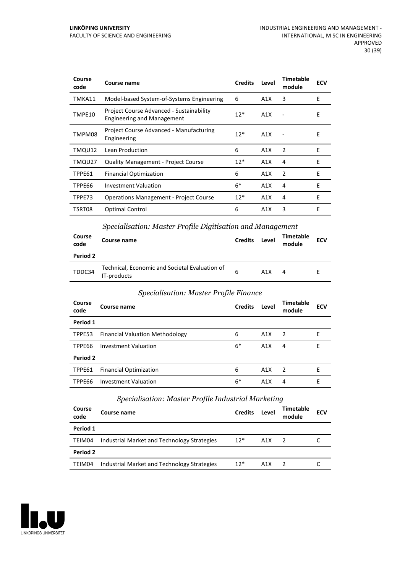| Course<br>code | Course name                                                                   | <b>Credits</b> | Level            | Timetable<br>module | ECV |
|----------------|-------------------------------------------------------------------------------|----------------|------------------|---------------------|-----|
| TMKA11         | Model-based System-of-Systems Engineering                                     | 6              | A1X              | 3                   | E   |
| TMPE10         | Project Course Advanced - Sustainability<br><b>Engineering and Management</b> | $12*$          | A1X              |                     | Е   |
| TMPM08         | Project Course Advanced - Manufacturing<br>Engineering                        | $12*$          | A1X              |                     | E   |
| TMQU12         | Lean Production                                                               | 6              | A1X              | 2                   | E   |
| TMQU27         | <b>Quality Management - Project Course</b>                                    | $12*$          | A1X              | 4                   | E   |
| TPPE61         | <b>Financial Optimization</b>                                                 | 6              | A <sub>1</sub> X | $\overline{2}$      | E   |
| TPPE66         | <b>Investment Valuation</b>                                                   | $6*$           | A1X              | 4                   | E   |
| TPPE73         | <b>Operations Management - Project Course</b>                                 | $12*$          | A1X              | 4                   | F   |
| TSRT08         | Optimal Control                                                               | 6              | A <sub>1</sub> X | 3                   | E   |

#### *Specialisation: Master Profile Digitisation and Management*

| Course<br>code | Course name                                                   | <b>Credits</b> | Level | <b>Timetable</b><br>module | <b>ECV</b> |
|----------------|---------------------------------------------------------------|----------------|-------|----------------------------|------------|
| Period 2       |                                                               |                |       |                            |            |
| TDDC34         | Technical, Economic and Societal Evaluation of<br>IT-products | 6              | A1X   | 4                          |            |

#### *Specialisation: Master Profile Finance*

| Course<br>code | Course name                            | <b>Credits</b> | Level | <b>Timetable</b><br>module | <b>ECV</b> |
|----------------|----------------------------------------|----------------|-------|----------------------------|------------|
| Period 1       |                                        |                |       |                            |            |
| TPPE53         | <b>Financial Valuation Methodology</b> | 6              | A1X   | -2                         | Е          |
| TPPE66         | Investment Valuation                   | $6*$           | A1X   | 4                          | Е          |
| Period 2       |                                        |                |       |                            |            |
| TPPE61         | <b>Financial Optimization</b>          | 6              | A1X   | $\mathcal{P}$              | E          |
| TPPE66         | <b>Investment Valuation</b>            | $6*$           | A1X   | 4                          | E          |

#### *Specialisation: Master Profile Industrial Marketing*

| Course<br>code | Course name                                 | <b>Credits</b> | Level | Timetable<br>module | <b>ECV</b> |
|----------------|---------------------------------------------|----------------|-------|---------------------|------------|
| Period 1       |                                             |                |       |                     |            |
| TEIM04         | Industrial Market and Technology Strategies | $12*$          | A1X   | $\overline{2}$      |            |
| Period 2       |                                             |                |       |                     |            |
| TEIM04         | Industrial Market and Technology Strategies | $12*$          | A1X   |                     |            |

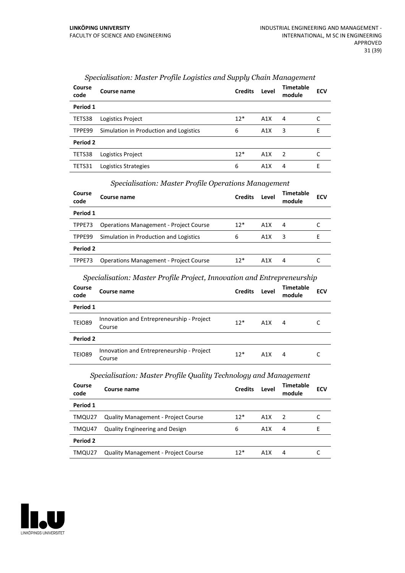| Course<br>code | Course name                            | <b>Credits</b> | Level | <b>Timetable</b><br>module | <b>ECV</b> |
|----------------|----------------------------------------|----------------|-------|----------------------------|------------|
| Period 1       |                                        |                |       |                            |            |
| TETS38         | Logistics Project                      | $12*$          | A1X   | 4                          |            |
| TPPE99         | Simulation in Production and Logistics | 6              | A1X   | 3                          | E          |
| Period 2       |                                        |                |       |                            |            |
| TETS38         | Logistics Project                      | $12*$          | A1X   | $\overline{2}$             |            |
| TETS31         | Logistics Strategies                   | 6              | A1X   | 4                          | E          |

#### *Specialisation: Master Profile Logistics and Supply Chain Management*

#### *Specialisation: Master Profile Operations Management*

| Course<br>code | Course name                                   | <b>Credits</b> | Level | <b>Timetable</b><br>module | <b>ECV</b> |
|----------------|-----------------------------------------------|----------------|-------|----------------------------|------------|
| Period 1       |                                               |                |       |                            |            |
| TPPE73         | <b>Operations Management - Project Course</b> | $12*$          | A1X   | 4                          |            |
| TPPE99         | Simulation in Production and Logistics        | 6              | A1X   | 3                          | н          |
| Period 2       |                                               |                |       |                            |            |
| TPPE73         | <b>Operations Management - Project Course</b> | $12*$          | A1X   | 4                          |            |

#### *Specialisation: Master Profile Project, Innovation and Entrepreneurship*

| Course<br>code | Course name                                         | <b>Credits</b> | Level | <b>Timetable</b><br>module | <b>ECV</b> |
|----------------|-----------------------------------------------------|----------------|-------|----------------------------|------------|
| Period 1       |                                                     |                |       |                            |            |
| <b>TEIO89</b>  | Innovation and Entrepreneurship - Project<br>Course | $12*$          | A1X   | 4                          |            |
| Period 2       |                                                     |                |       |                            |            |
| <b>TEIO89</b>  | Innovation and Entrepreneurship - Project<br>Course | $12*$          | A1X   | 4                          |            |

#### *Specialisation: Master Profile Quality Technology and Management*

| Course<br>code | Course name                                | <b>Credits</b> | Level | Timetable<br>module | <b>ECV</b> |
|----------------|--------------------------------------------|----------------|-------|---------------------|------------|
| Period 1       |                                            |                |       |                     |            |
| TMQU27         | <b>Quality Management - Project Course</b> | $12*$          | A1X   | 2                   |            |
| TMQU47         | <b>Quality Engineering and Design</b>      | 6              | A1X   | 4                   |            |
| Period 2       |                                            |                |       |                     |            |
| TMQU27         | <b>Quality Management - Project Course</b> | $12*$          | A1X   | 4                   |            |

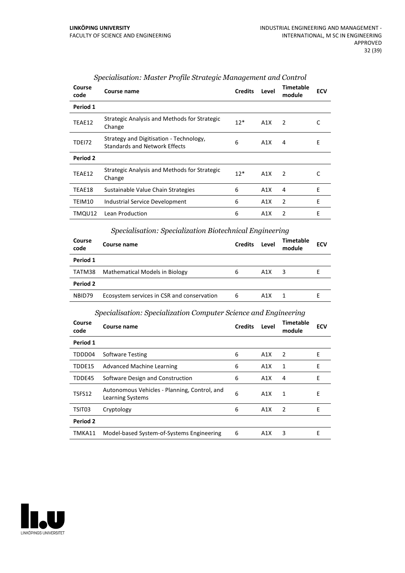| Course<br>code | Course name                                                                     | <b>Credits</b> | Level | <b>Timetable</b><br>module | <b>ECV</b> |
|----------------|---------------------------------------------------------------------------------|----------------|-------|----------------------------|------------|
| Period 1       |                                                                                 |                |       |                            |            |
| TEAE12         | Strategic Analysis and Methods for Strategic<br>Change                          | $12*$          | A1X   | 2                          |            |
| <b>TDE172</b>  | Strategy and Digitisation - Technology,<br><b>Standards and Network Effects</b> | 6              | A1X   | 4                          | Е          |
| Period 2       |                                                                                 |                |       |                            |            |
| TEAE12         | Strategic Analysis and Methods for Strategic<br>Change                          | $12*$          | A1X   | $\mathcal{P}$              | C          |
| TEAE18         | Sustainable Value Chain Strategies                                              | 6              | A1X   | 4                          | E          |
| TEIM10         | Industrial Service Development                                                  | 6              | A1X   | 2                          | E          |
| TMQU12         | Lean Production                                                                 | 6              | A1X   | $\mathfrak{p}$             | E          |

#### *Specialisation: Master Profile Strategic Management and Control*

## *Specialisation: Specialization Biotechnical Engineering*

| Course<br>code | Course name                                | <b>Credits</b> | Level | Timetable<br>module | <b>ECV</b> |
|----------------|--------------------------------------------|----------------|-------|---------------------|------------|
| Period 1       |                                            |                |       |                     |            |
| TATM38         | Mathematical Models in Biology             | 6              | A1X   | 3                   |            |
| Period 2       |                                            |                |       |                     |            |
| NBID79         | Ecosystem services in CSR and conservation | 6              | A1X   |                     |            |

## *Specialisation: Specialization Computer Science and Engineering*

| Course<br>code | Course name                                                      | <b>Credits</b> | Level | Timetable<br>module | <b>ECV</b> |
|----------------|------------------------------------------------------------------|----------------|-------|---------------------|------------|
| Period 1       |                                                                  |                |       |                     |            |
| TDDD04         | <b>Software Testing</b>                                          | 6              | A1X   | 2                   | E          |
| TDDE15         | Advanced Machine Learning                                        | 6              | A1X   | 1                   | E          |
| TDDE45         | Software Design and Construction                                 | 6              | A1X   | 4                   | Е          |
| TSFS12         | Autonomous Vehicles - Planning, Control, and<br>Learning Systems | 6              | A1X   | 1                   | Е          |
| TSIT03         | Cryptology                                                       | 6              | A1X   | 2                   | E          |
| Period 2       |                                                                  |                |       |                     |            |
| TMKA11         | Model-based System-of-Systems Engineering                        | 6              | A1X   | 3                   | F          |

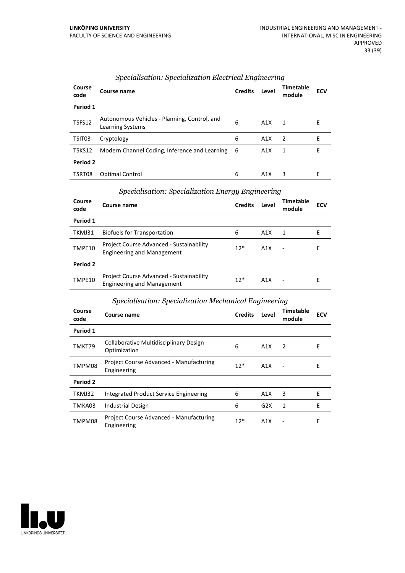| Course<br>code | Course name                                                      | <b>Credits</b> | Level | Timetable<br>module | <b>ECV</b> |
|----------------|------------------------------------------------------------------|----------------|-------|---------------------|------------|
| Period 1       |                                                                  |                |       |                     |            |
| TSFS12         | Autonomous Vehicles - Planning, Control, and<br>Learning Systems | 6              | A1X   | 1                   | E          |
| TSIT03         | Cryptology                                                       | 6              | A1X   | -2                  | E          |
| TSKS12         | Modern Channel Coding, Inference and Learning                    | - 6            | A1X   | 1                   | E          |
| Period 2       |                                                                  |                |       |                     |            |
| TSRT08         | Optimal Control                                                  | 6              | A1X   | 3                   | Е          |

## *Specialisation: Specialization Electrical Engineering*

#### *Specialisation: Specialization Energy Engineering*

|                |                                                                                      | $\ddotsc$      |       |                     |            |
|----------------|--------------------------------------------------------------------------------------|----------------|-------|---------------------|------------|
| Course<br>code | <b>Course name</b>                                                                   | <b>Credits</b> | Level | Timetable<br>module | <b>ECV</b> |
| Period 1       |                                                                                      |                |       |                     |            |
| TKMJ31         | <b>Biofuels for Transportation</b>                                                   | 6              | A1X   | 1                   | F          |
| TMPE10         | Project Course Advanced - Sustainability<br><b>Engineering and Management</b>        | $12*$          | A1X   |                     | E          |
| Period 2       |                                                                                      |                |       |                     |            |
| TMPE10         | <b>Project Course Advanced - Sustainability</b><br><b>Engineering and Management</b> | $12*$          | A1X   |                     | Е          |

#### *Specialisation: Specialization Mechanical Engineering*

| Course<br>code | Course name                                            | <b>Credits</b> | Level            | <b>Timetable</b><br>module | <b>ECV</b> |
|----------------|--------------------------------------------------------|----------------|------------------|----------------------------|------------|
| Period 1       |                                                        |                |                  |                            |            |
| TMKT79         | Collaborative Multidisciplinary Design<br>Optimization | 6              | A1X              | 2                          | Е          |
| TMPM08         | Project Course Advanced - Manufacturing<br>Engineering | $12*$          | A1X              | $\overline{\phantom{a}}$   | E          |
| Period 2       |                                                        |                |                  |                            |            |
| TKMJ32         | Integrated Product Service Engineering                 | 6              | A1X              | 3                          | Е          |
| TMKA03         | Industrial Design                                      | 6              | G <sub>2</sub> X | 1                          | E          |
| TMPM08         | Project Course Advanced - Manufacturing<br>Engineering | $12*$          | A1X              | $\overline{\phantom{a}}$   | E          |

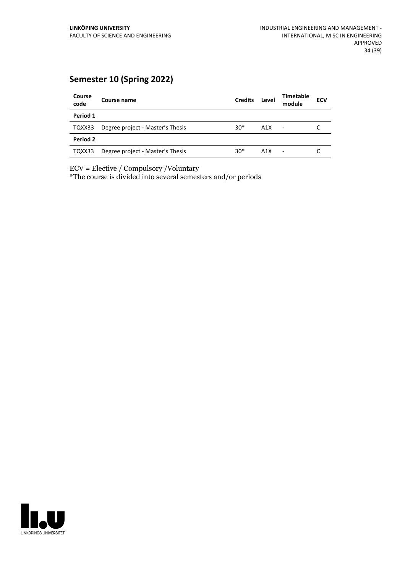## **Semester 10 (Spring 2022)**

| Course<br>code | Course name                      | <b>Credits</b> | Level | <b>Timetable</b><br>module | <b>ECV</b> |
|----------------|----------------------------------|----------------|-------|----------------------------|------------|
| Period 1       |                                  |                |       |                            |            |
| TQXX33         | Degree project - Master's Thesis | $30*$          | A1X   | $\overline{\phantom{a}}$   |            |
| Period 2       |                                  |                |       |                            |            |
| TQXX33         | Degree project - Master's Thesis | $30*$          | A1X   | ٠                          |            |

ECV = Elective / Compulsory /Voluntary

\*The course is divided into several semesters and/or periods

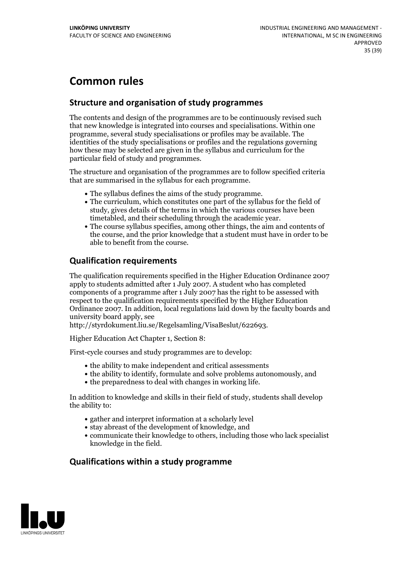## **Common rules**

## **Structure and organisation of study programmes**

The contents and design of the programmes are to be continuously revised such that new knowledge is integrated into courses and specialisations. Within one programme, several study specialisations or profiles may be available. The identities of the study specialisations or profiles and the regulations governing how these may be selected are given in the syllabus and curriculum for the particular field of study and programmes.

The structure and organisation of the programmes are to follow specified criteria that are summarised in the syllabus for each programme.

- 
- The syllabus defines the aims of the study programme.<br>• The curriculum, which constitutes one part of the syllabus for the field of study, gives details of the terms in which the various courses have been
- The course syllabus specifies, among other things, the aim and contents of the course, and the prior knowledge that a student must have in order to be able to benefit from the course.

## **Qualification requirements**

The qualification requirements specified in the Higher Education Ordinance 2007 apply to students admitted after 1 July 2007. A student who has completed components of a programme after 1 July 2007 has the right to be assessed with respect to the qualification requirements specified by the Higher Education Ordinance 2007. In addition, local regulations laid down by the faculty boards and university board apply, see

http://styrdokument.liu.se/Regelsamling/VisaBeslut/622693.

Higher Education Act Chapter 1, Section 8:

First-cycle courses and study programmes are to develop:

- the ability to make independent and critical assessments
- the ability to identify, formulate and solve problems autonomously, and
- the preparedness to deal with changes in working life.

In addition to knowledge and skills in their field of study, students shall develop the ability to:

- gather and interpret information at a scholarly level
- stay abreast of the development of knowledge, and
- communicate their knowledge to others, including those who lack specialist knowledge in the field.

## **Qualifications within a study programme**

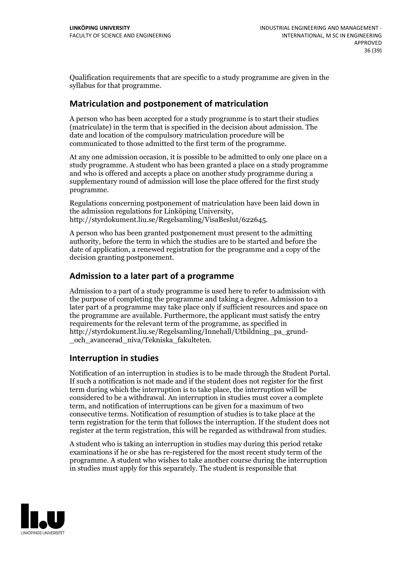Qualification requirements that are specific to a study programme are given in the syllabus for that programme.

## **Matriculation and postponement of matriculation**

A person who has been accepted for a study programme is to start their studies (matriculate) in the term that is specified in the decision about admission. The date and location of the compulsory matriculation procedure will be communicated to those admitted to the first term of the programme.

At any one admission occasion, it is possible to be admitted to only one place on a study programme. A student who has been granted a place on a study programme and who is offered and accepts a place on another study programme during a supplementary round of admission will lose the place offered for the first study programme.

Regulations concerning postponement of matriculation have been laid down in the admission regulations for Linköping University, http://styrdokument.liu.se/Regelsamling/VisaBeslut/622645.

A person who has been granted postponement must present to the admitting authority, before the term in which the studies are to be started and before the date of application, a renewed registration for the programme and a copy of the decision granting postponement.

## **Admission to a later part of a programme**

Admission to a part of a study programme is used here to refer to admission with the purpose of completing the programme and taking a degree. Admission to a later part of a programme may take place only if sufficient resources and space on the programme are available. Furthermore, the applicant must satisfy the entry requirements for the relevant term of the programme, as specified in http://styrdokument.liu.se/Regelsamling/Innehall/Utbildning\_pa\_grund- \_och\_avancerad\_niva/Tekniska\_fakulteten.

#### **Interruption in studies**

Notification of an interruption in studies is to be made through the Student Portal. If such <sup>a</sup> notification is not made and if the student does not register for the first term during which the interruption is to take place, the interruption will be considered to be a withdrawal. An interruption in studies must cover a complete term, and notification of interruptions can be given for a maximum of two consecutive terms. Notification of resumption of studies is to take place at the term registration for the term that follows the interruption. If the student does not register at the term registration, this will be regarded as withdrawal from studies.

A student who is taking an interruption in studies may during this period retake examinations if he or she has re-registered for the most recent study term of the programme. A student who wishes to take another course during the interruption in studies must apply for this separately. The student is responsible that

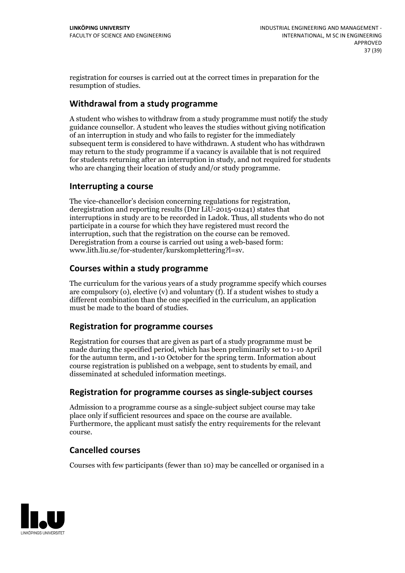registration for courses is carried outat the correct times in preparation for the resumption of studies.

## **Withdrawal from a study programme**

A student who wishes to withdraw from a study programme must notify the study guidance counsellor. A student who leaves the studies without giving notification of an interruption in study and who fails to register for the immediately subsequent term is considered to have withdrawn. A student who has withdrawn may return to the study programme if a vacancy is available that is not required for students returning after an interruption in study, and notrequired for students who are changing their location of study and/or study programme.

## **Interrupting a course**

The vice-chancellor's decision concerning regulations for registration, deregistration and reporting results (Dnr LiU-2015-01241) states that interruptions in study are to be recorded in Ladok. Thus, all students who do not participate in a course for which they have registered must record the interruption, such that the registration on the course can be removed. Deregistration from <sup>a</sup> course is carried outusing <sup>a</sup> web-based form: www.lith.liu.se/for-studenter/kurskomplettering?l=sv.

## **Courses within a study programme**

The curriculum for the various years of a study programme specify which courses are compulsory (o), elective (v) and voluntary (f). If a student wishes to study a different combination than the one specified in the curriculum, an application must be made to the board of studies.

## **Registration for programme courses**

Registration for courses that are given as part of a study programme must be made during the specified period, which has been preliminarily set to 1-10 April for the autumn term, and 1-10 October for the spring term. Information about course registration is published on a webpage, sent to students by email, and disseminated at scheduled information meetings.

## **Registration for programme courses as single-subject courses**

Admission to a programme course as a single-subject subject course may take place only if sufficient resources and space on the course are available. Furthermore, the applicant must satisfy the entry requirements for the relevant course.

## **Cancelled courses**

Courses with few participants (fewer than 10) may be cancelled or organised in a

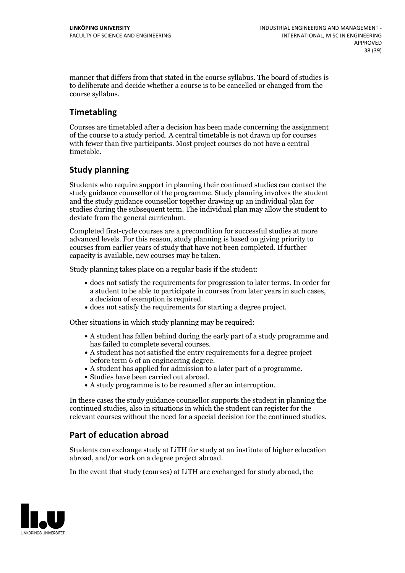manner that differs from that stated in the course syllabus. The board of studies is to deliberate and decide whether a course is to be cancelled orchanged from the course syllabus.

## **Timetabling**

Courses are timetabled after a decision has been made concerning the assignment of the course to a study period. A central timetable is not drawn up for courses with fewer than five participants. Most project courses do not have a central timetable.

## **Study planning**

Students who require support in planning their continued studies can contact the study guidance counsellor of the programme. Study planning involves the student and the study guidance counsellor together drawing up an individual plan for studies during the subsequent term. The individual plan may allow the student to deviate from the general curriculum.

Completed first-cycle courses are a precondition for successful studies at more advanced levels. For this reason, study planning is based on giving priority to courses from earlier years of study that have not been completed. If further capacity is available, new courses may be taken.

Study planning takes place on a regular basis if the student:

- does not satisfy the requirements for progression to later terms. In order for a student to be able to participate in courses from later years in such cases, a decision of exemption is required.<br>
• does not satisfy the requirements for starting a degree project.
- 

Other situations in which study planning may be required:

- A student has fallen behind during the early part of a study programme and
- has failed to complete several courses.<br>• A student has not satisfied the entry requirements for a degree project
- before term 6 of an engineering degree.<br>
 A student has applied for admission to a later part of a programme.<br>
 Studies have been carried out abroad.<br>
 A study programme is to be resumed after an interruption.
- 
- 

In these cases the study guidance counsellor supports the student in planning the continued studies, also in situations in which the student can register for the relevant courses without the need for a special decision for the continued studies.

## **Part of education abroad**

Students can exchange study at LiTH for study at an institute of higher education abroad, and/or work on a degree project abroad.

In the event that study (courses) at LiTH are exchanged for study abroad, the